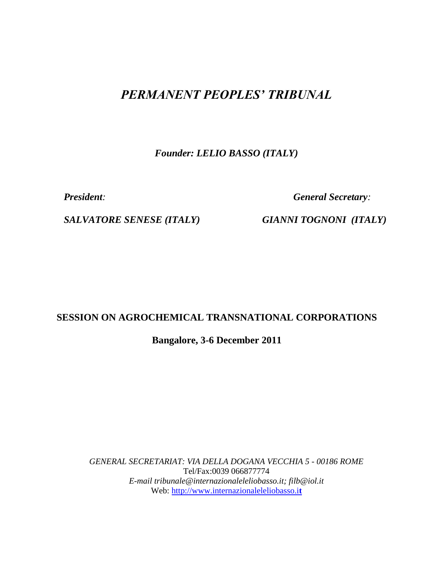# *PERMANENT PEOPLES' TRIBUNAL*

*Founder: LELIO BASSO (ITALY)*

*President: General Secretary:* 

*SALVATORE SENESE (ITALY) GIANNI TOGNONI (ITALY)*

# **SESSION ON AGROCHEMICAL TRANSNATIONAL CORPORATIONS**

**Bangalore, 3-6 December 2011**

*GENERAL SECRETARIAT: VIA DELLA DOGANA VECCHIA 5 - 00186 ROME* Tel/Fax:0039 066877774 *E-mail tribunale@internazionaleleliobasso.it; filb@iol.it* Web: [http://www.internazionaleleliobasso.i](http://www.internazionaleleliobasso.it/)**t**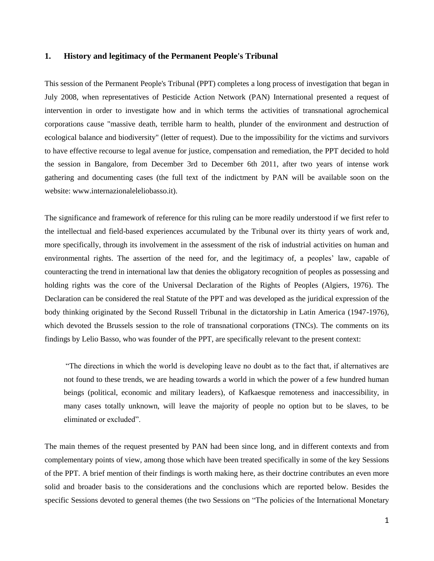#### **1. History and legitimacy of the Permanent People's Tribunal**

This session of the Permanent People's Tribunal (PPT) completes a long process of investigation that began in July 2008, when representatives of Pesticide Action Network (PAN) International presented a request of intervention in order to investigate how and in which terms the activities of transnational agrochemical corporations cause "massive death, terrible harm to health, plunder of the environment and destruction of ecological balance and biodiversity" (letter of request). Due to the impossibility for the victims and survivors to have effective recourse to legal avenue for justice, compensation and remediation, the PPT decided to hold the session in Bangalore, from December 3rd to December 6th 2011, after two years of intense work gathering and documenting cases (the full text of the indictment by PAN will be available soon on the website: www.internazionaleleliobasso.it).

The significance and framework of reference for this ruling can be more readily understood if we first refer to the intellectual and field-based experiences accumulated by the Tribunal over its thirty years of work and, more specifically, through its involvement in the assessment of the risk of industrial activities on human and environmental rights. The assertion of the need for, and the legitimacy of, a peoples' law, capable of counteracting the trend in international law that denies the obligatory recognition of peoples as possessing and holding rights was the core of the Universal Declaration of the Rights of Peoples (Algiers, 1976). The Declaration can be considered the real Statute of the PPT and was developed as the juridical expression of the body thinking originated by the Second Russell Tribunal in the dictatorship in Latin America (1947-1976), which devoted the Brussels session to the role of transnational corporations (TNCs). The comments on its findings by Lelio Basso, who was founder of the PPT, are specifically relevant to the present context:

"The directions in which the world is developing leave no doubt as to the fact that, if alternatives are not found to these trends, we are heading towards a world in which the power of a few hundred human beings (political, economic and military leaders), of Kafkaesque remoteness and inaccessibility, in many cases totally unknown, will leave the majority of people no option but to be slaves, to be eliminated or excluded".

The main themes of the request presented by PAN had been since long, and in different contexts and from complementary points of view, among those which have been treated specifically in some of the key Sessions of the PPT. A brief mention of their findings is worth making here, as their doctrine contributes an even more solid and broader basis to the considerations and the conclusions which are reported below. Besides the specific Sessions devoted to general themes (the two Sessions on "The policies of the International Monetary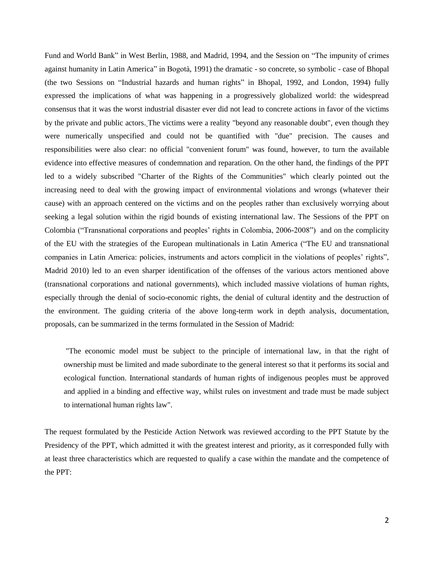Fund and World Bank" in West Berlin, 1988, and Madrid, 1994, and the Session on "The impunity of crimes against humanity in Latin America" in Bogotà, 1991) the dramatic - so concrete, so symbolic - case of Bhopal (the two Sessions on "Industrial hazards and human rights" in Bhopal, 1992, and London, 1994) fully expressed the implications of what was happening in a progressively globalized world: the widespread consensus that it was the worst industrial disaster ever did not lead to concrete actions in favor of the victims by the private and public actors. The victims were a reality "beyond any reasonable doubt", even though they were numerically unspecified and could not be quantified with "due" precision. The causes and responsibilities were also clear: no official "convenient forum" was found, however, to turn the available evidence into effective measures of condemnation and reparation. On the other hand, the findings of the PPT led to a widely subscribed "Charter of the Rights of the Communities" which clearly pointed out the increasing need to deal with the growing impact of environmental violations and wrongs (whatever their cause) with an approach centered on the victims and on the peoples rather than exclusively worrying about seeking a legal solution within the rigid bounds of existing international law. The Sessions of the PPT on Colombia ("Transnational corporations and peoples' rights in Colombia, 2006-2008") and on the complicity of the EU with the strategies of the European multinationals in Latin America ("The EU and transnational companies in Latin America: policies, instruments and actors complicit in the violations of peoples' rights", Madrid 2010) led to an even sharper identification of the offenses of the various actors mentioned above (transnational corporations and national governments), which included massive violations of human rights, especially through the denial of socio-economic rights, the denial of cultural identity and the destruction of the environment. The guiding criteria of the above long-term work in depth analysis, documentation, proposals, can be summarized in the terms formulated in the Session of Madrid:

"The economic model must be subject to the principle of international law, in that the right of ownership must be limited and made subordinate to the general interest so that it performs its social and ecological function. International standards of human rights of indigenous peoples must be approved and applied in a binding and effective way, whilst rules on investment and trade must be made subject to international human rights law".

The request formulated by the Pesticide Action Network was reviewed according to the PPT Statute by the Presidency of the PPT, which admitted it with the greatest interest and priority, as it corresponded fully with at least three characteristics which are requested to qualify a case within the mandate and the competence of the PPT: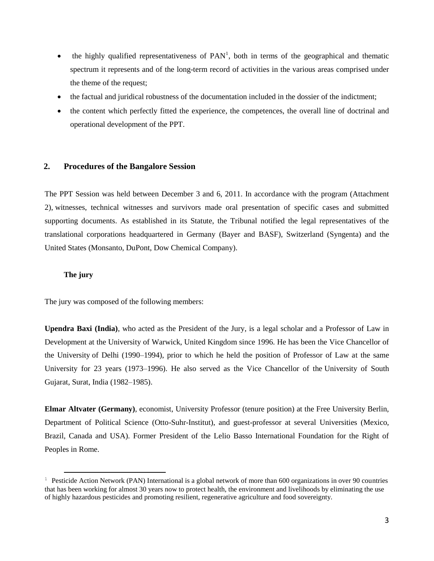- the highly qualified representativeness of  $PAN<sup>1</sup>$ , both in terms of the geographical and thematic spectrum it represents and of the long-term record of activities in the various areas comprised under the theme of the request;
- the factual and juridical robustness of the documentation included in the dossier of the indictment;
- the content which perfectly fitted the experience, the competences, the overall line of doctrinal and operational development of the PPT.

## **2. Procedures of the Bangalore Session**

The PPT Session was held between December 3 and 6, 2011. In accordance with the program (Attachment 2), witnesses, technical witnesses and survivors made oral presentation of specific cases and submitted supporting documents. As established in its Statute, the Tribunal notified the legal representatives of the translational corporations headquartered in Germany (Bayer and BASF), Switzerland (Syngenta) and the United States (Monsanto, DuPont, Dow Chemical Company).

#### **The jury**

 $\overline{a}$ 

The jury was composed of the following members:

**Upendra Baxi (India)**, who acted as the President of the Jury, is a legal scholar and a Professor of Law in Development at the University of Warwick, United Kingdom since 1996. He has been the Vice Chancellor of the University of Delhi (1990–1994), prior to which he held the position of Professor of Law at the same University for 23 years (1973–1996). He also served as the Vice Chancellor of the University of South Gujarat, Surat, India (1982–1985).

**Elmar Altvater (Germany)**, economist, University Professor (tenure position) at the Free University Berlin, Department of Political Science (Otto-Suhr-Institut), and guest-professor at several Universities (Mexico, Brazil, Canada and USA). Former President of the Lelio Basso International Foundation for the Right of Peoples in Rome.

<sup>&</sup>lt;sup>1</sup> Pesticide Action Network (PAN) International is a global network of more than 600 organizations in over 90 countries that has been working for almost 30 years now to protect health, the environment and livelihoods by eliminating the use of highly hazardous pesticides and promoting resilient, regenerative agriculture and food sovereignty.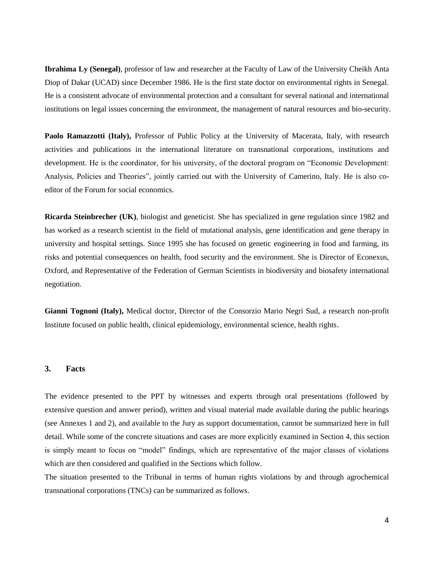**Ibrahima Ly (Senegal)**, professor of law and researcher at the Faculty of Law of the University Cheikh Anta Diop of Dakar (UCAD) since December 1986. He is the first state doctor on environmental rights in Senegal. He is a consistent advocate of environmental protection and a consultant for several national and international institutions on legal issues concerning the environment, the management of natural resources and bio-security.

Paolo Ramazzotti (Italy), Professor of Public Policy at the University of Macerata, Italy, with research activities and publications in the international literature on transnational corporations, institutions and development. He is the coordinator, for his university, of the doctoral program on "Economic Development: Analysis, Policies and Theories", jointly carried out with the University of Camerino, Italy. He is also coeditor of the Forum for social economics.

**Ricarda Steinbrecher (UK)**, biologist and geneticist. She has specialized in gene regulation since 1982 and has worked as a research scientist in the field of mutational analysis, gene identification and gene therapy in university and hospital settings. Since 1995 she has focused on genetic engineering in food and farming, its risks and potential consequences on health, food security and the environment. She is Director of Econexus, Oxford, and Representative of the Federation of German Scientists in biodiversity and biosafety international negotiation.

**Gianni Tognoni (Italy),** Medical doctor, Director of the Consorzio Mario Negri Sud, a research non-profit Institute focused on public health, clinical epidemiology, environmental science, health rights.

#### **3. Facts**

The evidence presented to the PPT by witnesses and experts through oral presentations (followed by extensive question and answer period), written and visual material made available during the public hearings (see Annexes 1 and 2), and available to the Jury as support documentation, cannot be summarized here in full detail. While some of the concrete situations and cases are more explicitly examined in Section 4, this section is simply meant to focus on "model" findings, which are representative of the major classes of violations which are then considered and qualified in the Sections which follow.

The situation presented to the Tribunal in terms of human rights violations by and through agrochemical transnational corporations (TNCs) can be summarized as follows.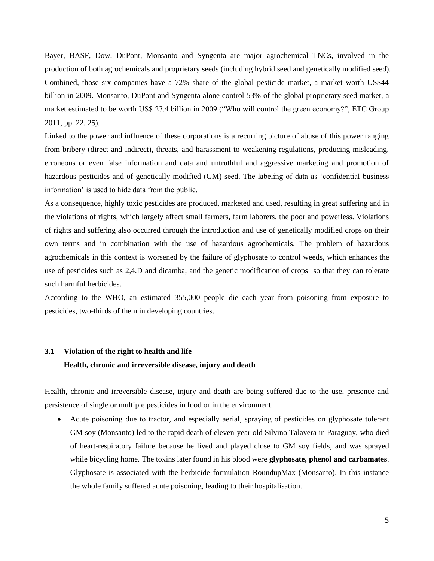Bayer, BASF, Dow, DuPont, Monsanto and Syngenta are major agrochemical TNCs, involved in the production of both agrochemicals and proprietary seeds (including hybrid seed and genetically modified seed). Combined, those six companies have a 72% share of the global pesticide market, a market worth US\$44 billion in 2009. Monsanto, DuPont and Syngenta alone control 53% of the global proprietary seed market, a market estimated to be worth US\$ 27.4 billion in 2009 ("Who will control the green economy?", ETC Group 2011, pp. 22, 25).

Linked to the power and influence of these corporations is a recurring picture of abuse of this power ranging from bribery (direct and indirect), threats, and harassment to weakening regulations, producing misleading, erroneous or even false information and data and untruthful and aggressive marketing and promotion of hazardous pesticides and of genetically modified (GM) seed. The labeling of data as 'confidential business information' is used to hide data from the public.

As a consequence, highly toxic pesticides are produced, marketed and used, resulting in great suffering and in the violations of rights, which largely affect small farmers, farm laborers, the poor and powerless. Violations of rights and suffering also occurred through the introduction and use of genetically modified crops on their own terms and in combination with the use of hazardous agrochemicals. The problem of hazardous agrochemicals in this context is worsened by the failure of glyphosate to control weeds, which enhances the use of pesticides such as 2,4.D and dicamba, and the genetic modification of crops so that they can tolerate such harmful herbicides.

According to the WHO, an estimated 355,000 people die each year from poisoning from exposure to pesticides, two-thirds of them in developing countries.

#### **3.1 Violation of the right to health and life**

#### **Health, chronic and irreversible disease, injury and death**

Health, chronic and irreversible disease, injury and death are being suffered due to the use, presence and persistence of single or multiple pesticides in food or in the environment.

 Acute poisoning due to tractor, and especially aerial, spraying of pesticides on glyphosate tolerant GM soy (Monsanto) led to the rapid death of eleven-year old Silvino Talavera in Paraguay, who died of heart-respiratory failure because he lived and played close to GM soy fields, and was sprayed while bicycling home. The toxins later found in his blood were **glyphosate, phenol and carbamates**. Glyphosate is associated with the herbicide formulation RoundupMax (Monsanto). In this instance the whole family suffered acute poisoning, leading to their hospitalisation.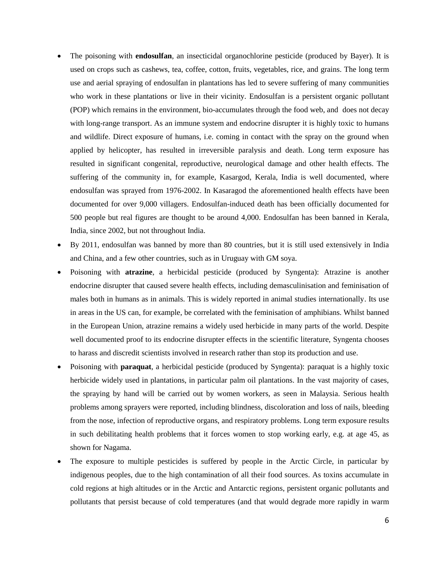- The poisoning with **endosulfan**, an insecticidal organochlorine pesticide (produced by Bayer). It is used on crops such as cashews, tea, coffee, cotton, fruits, vegetables, rice, and grains. The long term use and aerial spraying of endosulfan in plantations has led to severe suffering of many communities who work in these plantations or live in their vicinity. Endosulfan is a persistent organic pollutant (POP) which remains in the environment, bio-accumulates through the food web, and does not decay with long-range transport. As an immune system and endocrine disrupter it is highly toxic to humans and wildlife. Direct exposure of humans, i.e. coming in contact with the spray on the ground when applied by helicopter, has resulted in irreversible paralysis and death. Long term exposure has resulted in significant congenital, reproductive, neurological damage and other health effects. The suffering of the community in, for example, Kasargod, Kerala, India is well documented, where endosulfan was sprayed from 1976-2002. In Kasaragod the aforementioned health effects have been documented for over 9,000 villagers. Endosulfan-induced death has been officially documented for 500 people but real figures are thought to be around 4,000. Endosulfan has been banned in Kerala, India, since 2002, but not throughout India.
- By 2011, endosulfan was banned by more than 80 countries, but it is still used extensively in India and China, and a few other countries, such as in Uruguay with GM soya.
- Poisoning with **atrazine**, a herbicidal pesticide (produced by Syngenta): Atrazine is another endocrine disrupter that caused severe health effects, including demasculinisation and feminisation of males both in humans as in animals. This is widely reported in animal studies internationally. Its use in areas in the US can, for example, be correlated with the feminisation of amphibians. Whilst banned in the European Union, atrazine remains a widely used herbicide in many parts of the world. Despite well documented proof to its endocrine disrupter effects in the scientific literature, Syngenta chooses to harass and discredit scientists involved in research rather than stop its production and use.
- Poisoning with **paraquat**, a herbicidal pesticide (produced by Syngenta): paraquat is a highly toxic herbicide widely used in plantations, in particular palm oil plantations. In the vast majority of cases, the spraying by hand will be carried out by women workers, as seen in Malaysia. Serious health problems among sprayers were reported, including blindness, discoloration and loss of nails, bleeding from the nose, infection of reproductive organs, and respiratory problems. Long term exposure results in such debilitating health problems that it forces women to stop working early, e.g. at age 45, as shown for Nagama.
- The exposure to multiple pesticides is suffered by people in the Arctic Circle, in particular by indigenous peoples, due to the high contamination of all their food sources. As toxins accumulate in cold regions at high altitudes or in the Arctic and Antarctic regions, persistent organic pollutants and pollutants that persist because of cold temperatures (and that would degrade more rapidly in warm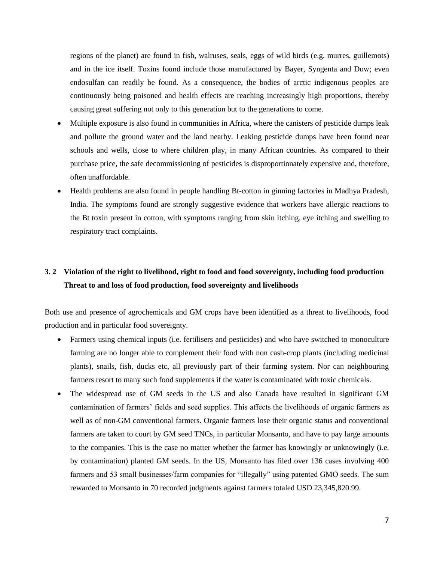regions of the planet) are found in fish, walruses, seals, eggs of wild birds (e.g. murres, guillemots) and in the ice itself. Toxins found include those manufactured by Bayer, Syngenta and Dow; even endosulfan can readily be found. As a consequence, the bodies of arctic indigenous peoples are continuously being poisoned and health effects are reaching increasingly high proportions, thereby causing great suffering not only to this generation but to the generations to come.

- Multiple exposure is also found in communities in Africa, where the canisters of pesticide dumps leak and pollute the ground water and the land nearby. Leaking pesticide dumps have been found near schools and wells, close to where children play, in many African countries. As compared to their purchase price, the safe decommissioning of pesticides is disproportionately expensive and, therefore, often unaffordable.
- Health problems are also found in people handling Bt-cotton in ginning factories in Madhya Pradesh, India. The symptoms found are strongly suggestive evidence that workers have allergic reactions to the Bt toxin present in cotton, with symptoms ranging from skin itching, eye itching and swelling to respiratory tract complaints.

## **3. 2 Violation of the right to livelihood, right to food and food sovereignty, including food production Threat to and loss of food production, food sovereignty and livelihoods**

Both use and presence of agrochemicals and GM crops have been identified as a threat to livelihoods, food production and in particular food sovereignty.

- Farmers using chemical inputs (i.e. fertilisers and pesticides) and who have switched to monoculture farming are no longer able to complement their food with non cash-crop plants (including medicinal plants), snails, fish, ducks etc, all previously part of their farming system. Nor can neighbouring farmers resort to many such food supplements if the water is contaminated with toxic chemicals.
- The widespread use of GM seeds in the US and also Canada have resulted in significant GM contamination of farmers' fields and seed supplies. This affects the livelihoods of organic farmers as well as of non-GM conventional farmers. Organic farmers lose their organic status and conventional farmers are taken to court by GM seed TNCs, in particular Monsanto, and have to pay large amounts to the companies. This is the case no matter whether the farmer has knowingly or unknowingly (i.e. by contamination) planted GM seeds. In the US, Monsanto has filed over 136 cases involving 400 farmers and 53 small businesses/farm companies for "illegally" using patented GMO seeds. The sum rewarded to Monsanto in 70 recorded judgments against farmers totaled USD 23,345,820.99.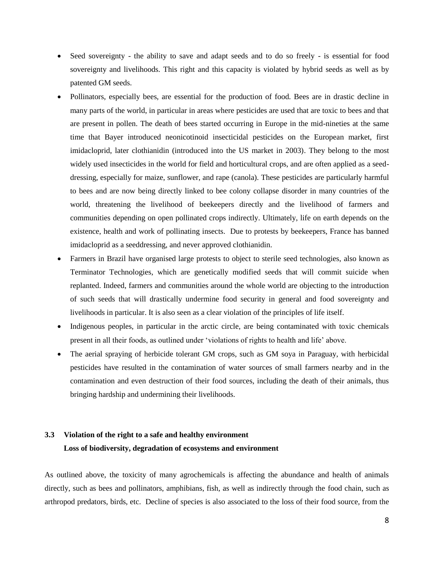- Seed sovereignty the ability to save and adapt seeds and to do so freely is essential for food sovereignty and livelihoods. This right and this capacity is violated by hybrid seeds as well as by patented GM seeds.
- Pollinators, especially bees, are essential for the production of food. Bees are in drastic decline in many parts of the world, in particular in areas where pesticides are used that are toxic to bees and that are present in pollen. The death of bees started occurring in Europe in the mid-nineties at the same time that Bayer introduced neonicotinoid insecticidal pesticides on the European market, first imidacloprid, later clothianidin (introduced into the US market in 2003). They belong to the most widely used insecticides in the world for field and horticultural crops, and are often applied as a seeddressing, especially for maize, sunflower, and rape (canola). These pesticides are particularly harmful to bees and are now being directly linked to bee colony collapse disorder in many countries of the world, threatening the livelihood of beekeepers directly and the livelihood of farmers and communities depending on open pollinated crops indirectly. Ultimately, life on earth depends on the existence, health and work of pollinating insects. Due to protests by beekeepers, France has banned imidacloprid as a seeddressing, and never approved clothianidin.
- Farmers in Brazil have organised large protests to object to sterile seed technologies, also known as Terminator Technologies, which are genetically modified seeds that will commit suicide when replanted. Indeed, farmers and communities around the whole world are objecting to the introduction of such seeds that will drastically undermine food security in general and food sovereignty and livelihoods in particular. It is also seen as a clear violation of the principles of life itself.
- Indigenous peoples, in particular in the arctic circle, are being contaminated with toxic chemicals present in all their foods, as outlined under 'violations of rights to health and life' above.
- The aerial spraying of herbicide tolerant GM crops, such as GM soya in Paraguay, with herbicidal pesticides have resulted in the contamination of water sources of small farmers nearby and in the contamination and even destruction of their food sources, including the death of their animals, thus bringing hardship and undermining their livelihoods.

## **3.3 Violation of the right to a safe and healthy environment Loss of biodiversity, degradation of ecosystems and environment**

As outlined above, the toxicity of many agrochemicals is affecting the abundance and health of animals directly, such as bees and pollinators, amphibians, fish, as well as indirectly through the food chain, such as arthropod predators, birds, etc. Decline of species is also associated to the loss of their food source, from the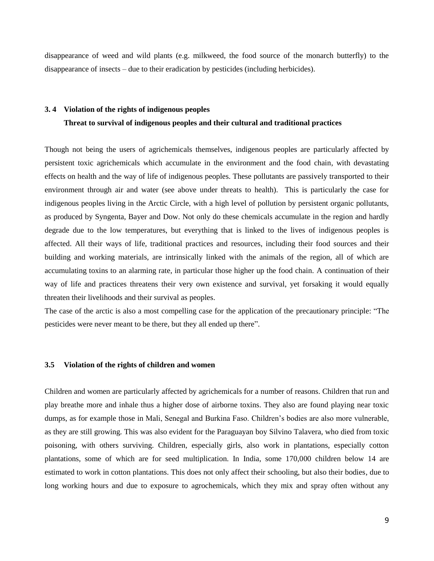disappearance of weed and wild plants (e.g. milkweed, the food source of the monarch butterfly) to the disappearance of insects – due to their eradication by pesticides (including herbicides).

#### **3. 4 Violation of the rights of indigenous peoples**

#### **Threat to survival of indigenous peoples and their cultural and traditional practices**

Though not being the users of agrichemicals themselves, indigenous peoples are particularly affected by persistent toxic agrichemicals which accumulate in the environment and the food chain, with devastating effects on health and the way of life of indigenous peoples. These pollutants are passively transported to their environment through air and water (see above under threats to health). This is particularly the case for indigenous peoples living in the Arctic Circle, with a high level of pollution by persistent organic pollutants, as produced by Syngenta, Bayer and Dow. Not only do these chemicals accumulate in the region and hardly degrade due to the low temperatures, but everything that is linked to the lives of indigenous peoples is affected. All their ways of life, traditional practices and resources, including their food sources and their building and working materials, are intrinsically linked with the animals of the region, all of which are accumulating toxins to an alarming rate, in particular those higher up the food chain. A continuation of their way of life and practices threatens their very own existence and survival, yet forsaking it would equally threaten their livelihoods and their survival as peoples.

The case of the arctic is also a most compelling case for the application of the precautionary principle: "The pesticides were never meant to be there, but they all ended up there".

#### **3.5 Violation of the rights of children and women**

Children and women are particularly affected by agrichemicals for a number of reasons. Children that run and play breathe more and inhale thus a higher dose of airborne toxins. They also are found playing near toxic dumps, as for example those in Mali, Senegal and Burkina Faso. Children's bodies are also more vulnerable, as they are still growing. This was also evident for the Paraguayan boy Silvino Talavera, who died from toxic poisoning, with others surviving. Children, especially girls, also work in plantations, especially cotton plantations, some of which are for seed multiplication. In India, some 170,000 children below 14 are estimated to work in cotton plantations. This does not only affect their schooling, but also their bodies, due to long working hours and due to exposure to agrochemicals, which they mix and spray often without any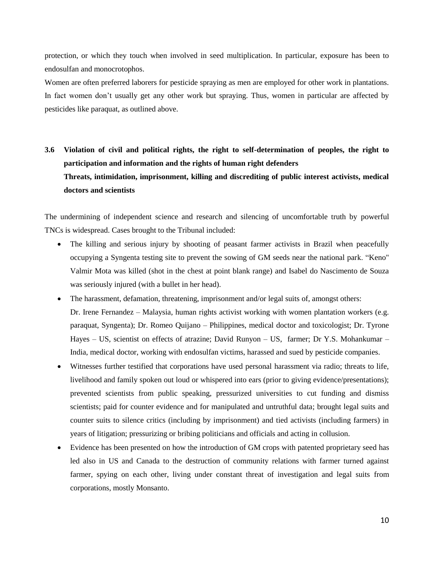protection, or which they touch when involved in seed multiplication. In particular, exposure has been to endosulfan and monocrotophos.

Women are often preferred laborers for pesticide spraying as men are employed for other work in plantations. In fact women don't usually get any other work but spraying. Thus, women in particular are affected by pesticides like paraquat, as outlined above.

**3.6 Violation of civil and political rights, the right to self-determination of peoples, the right to participation and information and the rights of human right defenders Threats, intimidation, imprisonment, killing and discrediting of public interest activists, medical doctors and scientists**

The undermining of independent science and research and silencing of uncomfortable truth by powerful TNCs is widespread. Cases brought to the Tribunal included:

- The killing and serious injury by shooting of peasant farmer activists in Brazil when peacefully occupying a Syngenta testing site to prevent the sowing of GM seeds near the national park. "Keno" Valmir Mota was killed (shot in the chest at point blank range) and Isabel do Nascimento de Souza was seriously injured (with a bullet in her head).
- The harassment, defamation, threatening, imprisonment and/or legal suits of, amongst others: Dr. Irene Fernandez – Malaysia, human rights activist working with women plantation workers (e.g. paraquat, Syngenta); Dr. Romeo Quijano – Philippines, medical doctor and toxicologist; Dr. Tyrone Hayes – US, scientist on effects of atrazine; David Runyon – US, farmer; Dr Y.S. Mohankumar – India, medical doctor, working with endosulfan victims, harassed and sued by pesticide companies.
- Witnesses further testified that corporations have used personal harassment via radio; threats to life, livelihood and family spoken out loud or whispered into ears (prior to giving evidence/presentations); prevented scientists from public speaking, pressurized universities to cut funding and dismiss scientists; paid for counter evidence and for manipulated and untruthful data; brought legal suits and counter suits to silence critics (including by imprisonment) and tied activists (including farmers) in years of litigation; pressurizing or bribing politicians and officials and acting in collusion.
- Evidence has been presented on how the introduction of GM crops with patented proprietary seed has led also in US and Canada to the destruction of community relations with farmer turned against farmer, spying on each other, living under constant threat of investigation and legal suits from corporations, mostly Monsanto.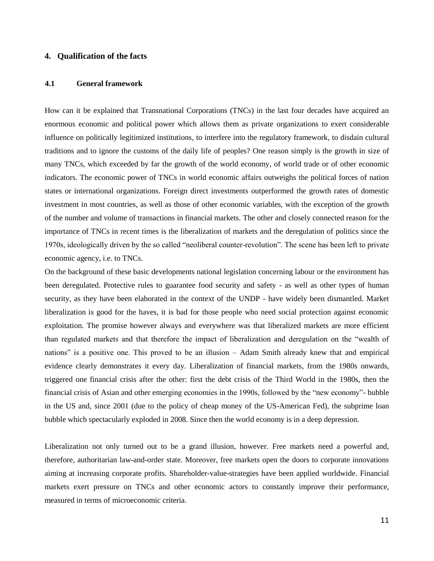## **4. Qualification of the facts**

## **4.1 General framework**

How can it be explained that Transnational Corporations (TNCs) in the last four decades have acquired an enormous economic and political power which allows them as private organizations to exert considerable influence on politically legitimized institutions, to interfere into the regulatory framework, to disdain cultural traditions and to ignore the customs of the daily life of peoples? One reason simply is the growth in size of many TNCs, which exceeded by far the growth of the world economy, of world trade or of other economic indicators. The economic power of TNCs in world economic affairs outweighs the political forces of nation states or international organizations. Foreign direct investments outperformed the growth rates of domestic investment in most countries, as well as those of other economic variables, with the exception of the growth of the number and volume of transactions in financial markets. The other and closely connected reason for the importance of TNCs in recent times is the liberalization of markets and the deregulation of politics since the 1970s, ideologically driven by the so called "neoliberal counter-revolution". The scene has been left to private economic agency, i.e. to TNCs.

On the background of these basic developments national legislation concerning labour or the environment has been deregulated. Protective rules to guarantee food security and safety - as well as other types of human security, as they have been elaborated in the context of the UNDP - have widely been dismantled. Market liberalization is good for the haves, it is bad for those people who need social protection against economic exploitation. The promise however always and everywhere was that liberalized markets are more efficient than regulated markets and that therefore the impact of liberalization and deregulation on the "wealth of nations" is a positive one. This proved to be an illusion – Adam Smith already knew that and empirical evidence clearly demonstrates it every day. Liberalization of financial markets, from the 1980s onwards, triggered one financial crisis after the other: first the debt crisis of the Third World in the 1980s, then the financial crisis of Asian and other emerging economies in the 1990s, followed by the "new economy"- bubble in the US and, since 2001 (due to the policy of cheap money of the US-American Fed), the subprime loan bubble which spectacularly exploded in 2008. Since then the world economy is in a deep depression.

Liberalization not only turned out to be a grand illusion, however. Free markets need a powerful and, therefore, authoritarian law-and-order state. Moreover, free markets open the doors to corporate innovations aiming at increasing corporate profits. Shareholder-value-strategies have been applied worldwide. Financial markets exert pressure on TNCs and other economic actors to constantly improve their performance, measured in terms of microeconomic criteria.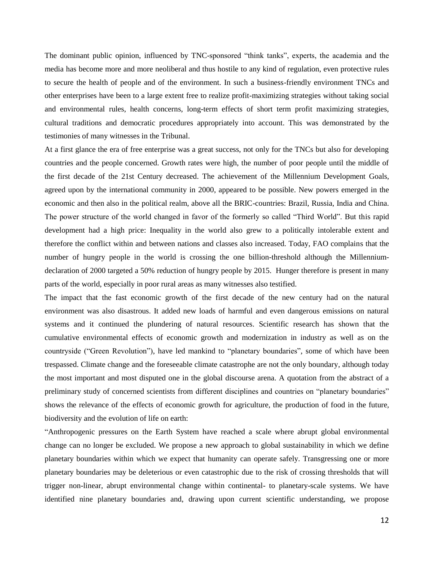The dominant public opinion, influenced by TNC-sponsored "think tanks", experts, the academia and the media has become more and more neoliberal and thus hostile to any kind of regulation, even protective rules to secure the health of people and of the environment. In such a business-friendly environment TNCs and other enterprises have been to a large extent free to realize profit-maximizing strategies without taking social and environmental rules, health concerns, long-term effects of short term profit maximizing strategies, cultural traditions and democratic procedures appropriately into account. This was demonstrated by the testimonies of many witnesses in the Tribunal.

At a first glance the era of free enterprise was a great success, not only for the TNCs but also for developing countries and the people concerned. Growth rates were high, the number of poor people until the middle of the first decade of the 21st Century decreased. The achievement of the Millennium Development Goals, agreed upon by the international community in 2000, appeared to be possible. New powers emerged in the economic and then also in the political realm, above all the BRIC-countries: Brazil, Russia, India and China. The power structure of the world changed in favor of the formerly so called "Third World". But this rapid development had a high price: Inequality in the world also grew to a politically intolerable extent and therefore the conflict within and between nations and classes also increased. Today, FAO complains that the number of hungry people in the world is crossing the one billion-threshold although the Millenniumdeclaration of 2000 targeted a 50% reduction of hungry people by 2015. Hunger therefore is present in many parts of the world, especially in poor rural areas as many witnesses also testified.

The impact that the fast economic growth of the first decade of the new century had on the natural environment was also disastrous. It added new loads of harmful and even dangerous emissions on natural systems and it continued the plundering of natural resources. Scientific research has shown that the cumulative environmental effects of economic growth and modernization in industry as well as on the countryside ("Green Revolution"), have led mankind to "planetary boundaries", some of which have been trespassed. Climate change and the foreseeable climate catastrophe are not the only boundary, although today the most important and most disputed one in the global discourse arena. A quotation from the abstract of a preliminary study of concerned scientists from different disciplines and countries on "planetary boundaries" shows the relevance of the effects of economic growth for agriculture, the production of food in the future, biodiversity and the evolution of life on earth:

"Anthropogenic pressures on the Earth System have reached a scale where abrupt global environmental change can no longer be excluded. We propose a new approach to global sustainability in which we define planetary boundaries within which we expect that humanity can operate safely. Transgressing one or more planetary boundaries may be deleterious or even catastrophic due to the risk of crossing thresholds that will trigger non-linear, abrupt environmental change within continental- to planetary-scale systems. We have identified nine planetary boundaries and, drawing upon current scientific understanding, we propose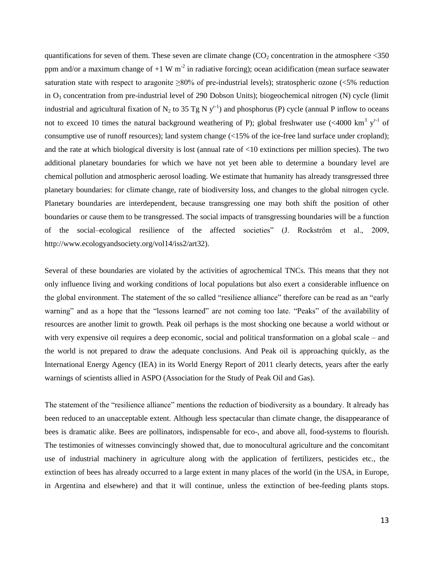quantifications for seven of them. These seven are climate change ( $CO<sub>2</sub>$  concentration in the atmosphere  $\leq 350$ ppm and/or a maximum change of  $+1 \text{ W m}^2$  in radiative forcing); ocean acidification (mean surface seawater saturation state with respect to aragonite ≥80% of pre-industrial levels); stratospheric ozone (<5% reduction in  $O_3$  concentration from pre-industrial level of 290 Dobson Units); biogeochemical nitrogen (N) cycle (limit industrial and agricultural fixation of N<sub>2</sub> to 35 Tg N  $y^{r-1}$ ) and phosphorus (P) cycle (annual P inflow to oceans not to exceed 10 times the natural background weathering of P); global freshwater use  $( $4000 \text{ km}^3 \text{ y}^{\text{r-1}}$  of$ consumptive use of runoff resources); land system change (<15% of the ice-free land surface under cropland); and the rate at which biological diversity is lost (annual rate of <10 extinctions per million species). The two additional planetary boundaries for which we have not yet been able to determine a boundary level are chemical pollution and atmospheric aerosol loading. We estimate that humanity has already transgressed three planetary boundaries: for climate change, rate of biodiversity loss, and changes to the global nitrogen cycle. Planetary boundaries are interdependent, because transgressing one may both shift the position of other boundaries or cause them to be transgressed. The social impacts of transgressing boundaries will be a function of the social–ecological resilience of the affected societies" (J. Rockström et al., 2009, http://www.ecologyandsociety.org/vol14/iss2/art32).

Several of these boundaries are violated by the activities of agrochemical TNCs. This means that they not only influence living and working conditions of local populations but also exert a considerable influence on the global environment. The statement of the so called "resilience alliance" therefore can be read as an "early warning" and as a hope that the "lessons learned" are not coming too late. "Peaks" of the availability of resources are another limit to growth. Peak oil perhaps is the most shocking one because a world without or with very expensive oil requires a deep economic, social and political transformation on a global scale – and the world is not prepared to draw the adequate conclusions. And Peak oil is approaching quickly, as the International Energy Agency (IEA) in its World Energy Report of 2011 clearly detects, years after the early warnings of scientists allied in ASPO (Association for the Study of Peak Oil and Gas).

The statement of the "resilience alliance" mentions the reduction of biodiversity as a boundary. It already has been reduced to an unacceptable extent. Although less spectacular than climate change, the disappearance of bees is dramatic alike. Bees are pollinators, indispensable for eco-, and above all, food-systems to flourish. The testimonies of witnesses convincingly showed that, due to monocultural agriculture and the concomitant use of industrial machinery in agriculture along with the application of fertilizers, pesticides etc., the extinction of bees has already occurred to a large extent in many places of the world (in the USA, in Europe, in Argentina and elsewhere) and that it will continue, unless the extinction of bee-feeding plants stops.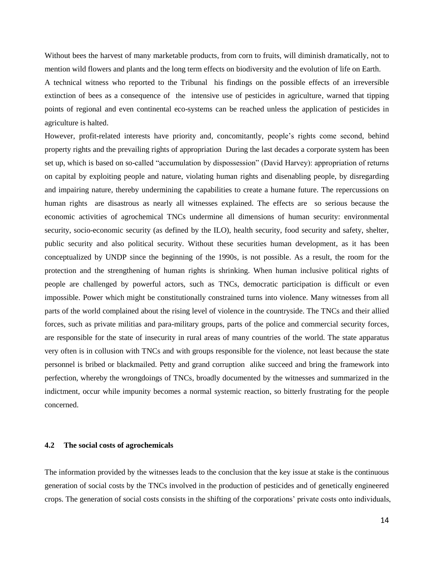Without bees the harvest of many marketable products, from corn to fruits, will diminish dramatically, not to mention wild flowers and plants and the long term effects on biodiversity and the evolution of life on Earth. A technical witness who reported to the Tribunal his findings on the possible effects of an irreversible extinction of bees as a consequence of the intensive use of pesticides in agriculture, warned that tipping points of regional and even continental eco-systems can be reached unless the application of pesticides in agriculture is halted.

However, profit-related interests have priority and, concomitantly, people's rights come second, behind property rights and the prevailing rights of appropriation During the last decades a corporate system has been set up, which is based on so-called "accumulation by dispossession" (David Harvey): appropriation of returns on capital by exploiting people and nature, violating human rights and disenabling people, by disregarding and impairing nature, thereby undermining the capabilities to create a humane future. The repercussions on human rights are disastrous as nearly all witnesses explained. The effects are so serious because the economic activities of agrochemical TNCs undermine all dimensions of human security: environmental security, socio-economic security (as defined by the ILO), health security, food security and safety, shelter, public security and also political security. Without these securities human development, as it has been conceptualized by UNDP since the beginning of the 1990s, is not possible. As a result, the room for the protection and the strengthening of human rights is shrinking. When human inclusive political rights of people are challenged by powerful actors, such as TNCs, democratic participation is difficult or even impossible. Power which might be constitutionally constrained turns into violence. Many witnesses from all parts of the world complained about the rising level of violence in the countryside. The TNCs and their allied forces, such as private militias and para-military groups, parts of the police and commercial security forces, are responsible for the state of insecurity in rural areas of many countries of the world. The state apparatus very often is in collusion with TNCs and with groups responsible for the violence, not least because the state personnel is bribed or blackmailed. Petty and grand corruption alike succeed and bring the framework into perfection, whereby the wrongdoings of TNCs, broadly documented by the witnesses and summarized in the indictment, occur while impunity becomes a normal systemic reaction, so bitterly frustrating for the people concerned.

## **4.2 The social costs of agrochemicals**

The information provided by the witnesses leads to the conclusion that the key issue at stake is the continuous generation of social costs by the TNCs involved in the production of pesticides and of genetically engineered crops. The generation of social costs consists in the shifting of the corporations' private costs onto individuals,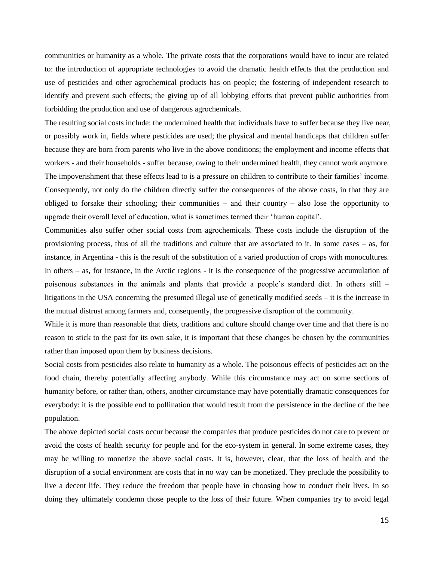communities or humanity as a whole. The private costs that the corporations would have to incur are related to: the introduction of appropriate technologies to avoid the dramatic health effects that the production and use of pesticides and other agrochemical products has on people; the fostering of independent research to identify and prevent such effects; the giving up of all lobbying efforts that prevent public authorities from forbidding the production and use of dangerous agrochemicals.

The resulting social costs include: the undermined health that individuals have to suffer because they live near, or possibly work in, fields where pesticides are used; the physical and mental handicaps that children suffer because they are born from parents who live in the above conditions; the employment and income effects that workers - and their households - suffer because, owing to their undermined health, they cannot work anymore. The impoverishment that these effects lead to is a pressure on children to contribute to their families' income. Consequently, not only do the children directly suffer the consequences of the above costs, in that they are obliged to forsake their schooling; their communities – and their country – also lose the opportunity to upgrade their overall level of education, what is sometimes termed their 'human capital'.

Communities also suffer other social costs from agrochemicals. These costs include the disruption of the provisioning process, thus of all the traditions and culture that are associated to it. In some cases – as, for instance, in Argentina - this is the result of the substitution of a varied production of crops with monocultures. In others – as, for instance, in the Arctic regions - it is the consequence of the progressive accumulation of poisonous substances in the animals and plants that provide a people's standard diet. In others still – litigations in the USA concerning the presumed illegal use of genetically modified seeds – it is the increase in the mutual distrust among farmers and, consequently, the progressive disruption of the community.

While it is more than reasonable that diets, traditions and culture should change over time and that there is no reason to stick to the past for its own sake, it is important that these changes be chosen by the communities rather than imposed upon them by business decisions.

Social costs from pesticides also relate to humanity as a whole. The poisonous effects of pesticides act on the food chain, thereby potentially affecting anybody. While this circumstance may act on some sections of humanity before, or rather than, others, another circumstance may have potentially dramatic consequences for everybody: it is the possible end to pollination that would result from the persistence in the decline of the bee population.

The above depicted social costs occur because the companies that produce pesticides do not care to prevent or avoid the costs of health security for people and for the eco-system in general. In some extreme cases, they may be willing to monetize the above social costs. It is, however, clear, that the loss of health and the disruption of a social environment are costs that in no way can be monetized. They preclude the possibility to live a decent life. They reduce the freedom that people have in choosing how to conduct their lives. In so doing they ultimately condemn those people to the loss of their future. When companies try to avoid legal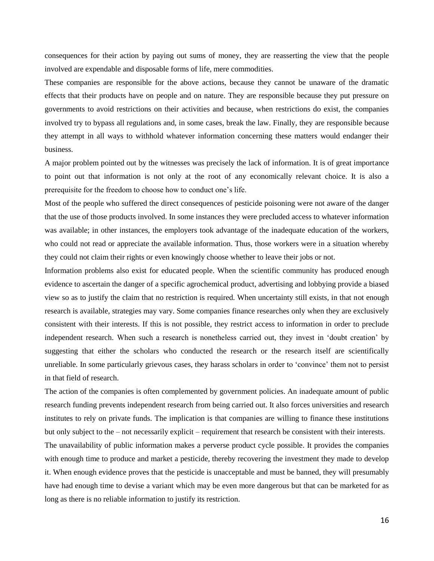consequences for their action by paying out sums of money, they are reasserting the view that the people involved are expendable and disposable forms of life, mere commodities.

These companies are responsible for the above actions, because they cannot be unaware of the dramatic effects that their products have on people and on nature. They are responsible because they put pressure on governments to avoid restrictions on their activities and because, when restrictions do exist, the companies involved try to bypass all regulations and, in some cases, break the law. Finally, they are responsible because they attempt in all ways to withhold whatever information concerning these matters would endanger their business.

A major problem pointed out by the witnesses was precisely the lack of information. It is of great importance to point out that information is not only at the root of any economically relevant choice. It is also a prerequisite for the freedom to choose how to conduct one's life.

Most of the people who suffered the direct consequences of pesticide poisoning were not aware of the danger that the use of those products involved. In some instances they were precluded access to whatever information was available; in other instances, the employers took advantage of the inadequate education of the workers, who could not read or appreciate the available information. Thus, those workers were in a situation whereby they could not claim their rights or even knowingly choose whether to leave their jobs or not.

Information problems also exist for educated people. When the scientific community has produced enough evidence to ascertain the danger of a specific agrochemical product, advertising and lobbying provide a biased view so as to justify the claim that no restriction is required. When uncertainty still exists, in that not enough research is available, strategies may vary. Some companies finance researches only when they are exclusively consistent with their interests. If this is not possible, they restrict access to information in order to preclude independent research. When such a research is nonetheless carried out, they invest in 'doubt creation' by suggesting that either the scholars who conducted the research or the research itself are scientifically unreliable. In some particularly grievous cases, they harass scholars in order to 'convince' them not to persist in that field of research.

The action of the companies is often complemented by government policies. An inadequate amount of public research funding prevents independent research from being carried out. It also forces universities and research institutes to rely on private funds. The implication is that companies are willing to finance these institutions but only subject to the – not necessarily explicit – requirement that research be consistent with their interests.

The unavailability of public information makes a perverse product cycle possible. It provides the companies with enough time to produce and market a pesticide, thereby recovering the investment they made to develop it. When enough evidence proves that the pesticide is unacceptable and must be banned, they will presumably have had enough time to devise a variant which may be even more dangerous but that can be marketed for as long as there is no reliable information to justify its restriction.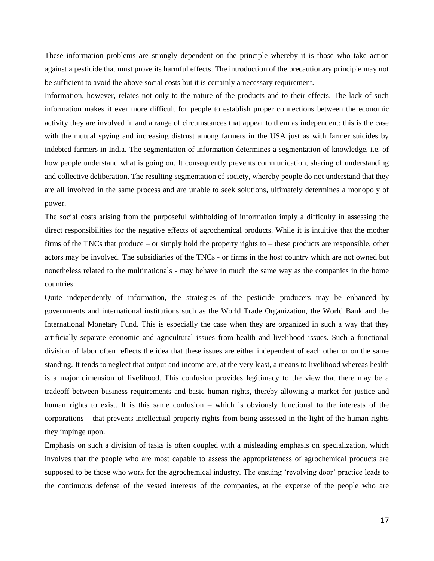These information problems are strongly dependent on the principle whereby it is those who take action against a pesticide that must prove its harmful effects. The introduction of the precautionary principle may not be sufficient to avoid the above social costs but it is certainly a necessary requirement.

Information, however, relates not only to the nature of the products and to their effects. The lack of such information makes it ever more difficult for people to establish proper connections between the economic activity they are involved in and a range of circumstances that appear to them as independent: this is the case with the mutual spying and increasing distrust among farmers in the USA just as with farmer suicides by indebted farmers in India. The segmentation of information determines a segmentation of knowledge, i.e. of how people understand what is going on. It consequently prevents communication, sharing of understanding and collective deliberation. The resulting segmentation of society, whereby people do not understand that they are all involved in the same process and are unable to seek solutions, ultimately determines a monopoly of power.

The social costs arising from the purposeful withholding of information imply a difficulty in assessing the direct responsibilities for the negative effects of agrochemical products. While it is intuitive that the mother firms of the TNCs that produce – or simply hold the property rights to – these products are responsible, other actors may be involved. The subsidiaries of the TNCs - or firms in the host country which are not owned but nonetheless related to the multinationals - may behave in much the same way as the companies in the home countries.

Quite independently of information, the strategies of the pesticide producers may be enhanced by governments and international institutions such as the World Trade Organization, the World Bank and the International Monetary Fund. This is especially the case when they are organized in such a way that they artificially separate economic and agricultural issues from health and livelihood issues. Such a functional division of labor often reflects the idea that these issues are either independent of each other or on the same standing. It tends to neglect that output and income are, at the very least, a means to livelihood whereas health is a major dimension of livelihood. This confusion provides legitimacy to the view that there may be a tradeoff between business requirements and basic human rights, thereby allowing a market for justice and human rights to exist. It is this same confusion – which is obviously functional to the interests of the corporations – that prevents intellectual property rights from being assessed in the light of the human rights they impinge upon.

Emphasis on such a division of tasks is often coupled with a misleading emphasis on specialization, which involves that the people who are most capable to assess the appropriateness of agrochemical products are supposed to be those who work for the agrochemical industry. The ensuing 'revolving door' practice leads to the continuous defense of the vested interests of the companies, at the expense of the people who are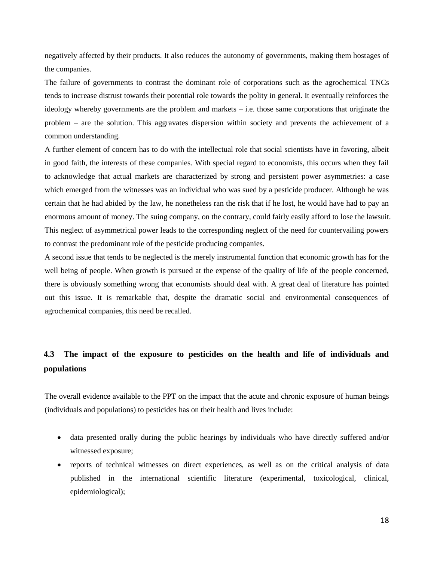negatively affected by their products. It also reduces the autonomy of governments, making them hostages of the companies.

The failure of governments to contrast the dominant role of corporations such as the agrochemical TNCs tends to increase distrust towards their potential role towards the polity in general. It eventually reinforces the ideology whereby governments are the problem and markets – i.e. those same corporations that originate the problem – are the solution. This aggravates dispersion within society and prevents the achievement of a common understanding.

A further element of concern has to do with the intellectual role that social scientists have in favoring, albeit in good faith, the interests of these companies. With special regard to economists, this occurs when they fail to acknowledge that actual markets are characterized by strong and persistent power asymmetries: a case which emerged from the witnesses was an individual who was sued by a pesticide producer. Although he was certain that he had abided by the law, he nonetheless ran the risk that if he lost, he would have had to pay an enormous amount of money. The suing company, on the contrary, could fairly easily afford to lose the lawsuit. This neglect of asymmetrical power leads to the corresponding neglect of the need for countervailing powers to contrast the predominant role of the pesticide producing companies.

A second issue that tends to be neglected is the merely instrumental function that economic growth has for the well being of people. When growth is pursued at the expense of the quality of life of the people concerned, there is obviously something wrong that economists should deal with. A great deal of literature has pointed out this issue. It is remarkable that, despite the dramatic social and environmental consequences of agrochemical companies, this need be recalled.

# **4.3 The impact of the exposure to pesticides on the health and life of individuals and populations**

The overall evidence available to the PPT on the impact that the acute and chronic exposure of human beings (individuals and populations) to pesticides has on their health and lives include:

- data presented orally during the public hearings by individuals who have directly suffered and/or witnessed exposure;
- reports of technical witnesses on direct experiences, as well as on the critical analysis of data published in the international scientific literature (experimental, toxicological, clinical, epidemiological);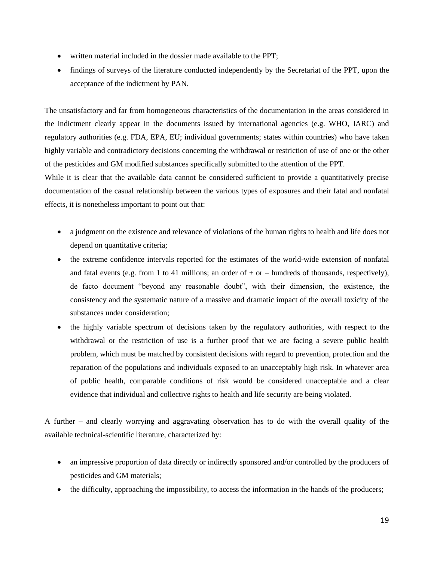- written material included in the dossier made available to the PPT;
- findings of surveys of the literature conducted independently by the Secretariat of the PPT, upon the acceptance of the indictment by PAN.

The unsatisfactory and far from homogeneous characteristics of the documentation in the areas considered in the indictment clearly appear in the documents issued by international agencies (e.g. WHO, IARC) and regulatory authorities (e.g. FDA, EPA, EU; individual governments; states within countries) who have taken highly variable and contradictory decisions concerning the withdrawal or restriction of use of one or the other of the pesticides and GM modified substances specifically submitted to the attention of the PPT.

While it is clear that the available data cannot be considered sufficient to provide a quantitatively precise documentation of the casual relationship between the various types of exposures and their fatal and nonfatal effects, it is nonetheless important to point out that:

- a judgment on the existence and relevance of violations of the human rights to health and life does not depend on quantitative criteria;
- the extreme confidence intervals reported for the estimates of the world-wide extension of nonfatal and fatal events (e.g. from 1 to 41 millions; an order of  $+$  or  $-$  hundreds of thousands, respectively), de facto document "beyond any reasonable doubt", with their dimension, the existence, the consistency and the systematic nature of a massive and dramatic impact of the overall toxicity of the substances under consideration;
- the highly variable spectrum of decisions taken by the regulatory authorities, with respect to the withdrawal or the restriction of use is a further proof that we are facing a severe public health problem, which must be matched by consistent decisions with regard to prevention, protection and the reparation of the populations and individuals exposed to an unacceptably high risk. In whatever area of public health, comparable conditions of risk would be considered unacceptable and a clear evidence that individual and collective rights to health and life security are being violated.

A further – and clearly worrying and aggravating observation has to do with the overall quality of the available technical-scientific literature, characterized by:

- an impressive proportion of data directly or indirectly sponsored and/or controlled by the producers of pesticides and GM materials;
- the difficulty, approaching the impossibility, to access the information in the hands of the producers;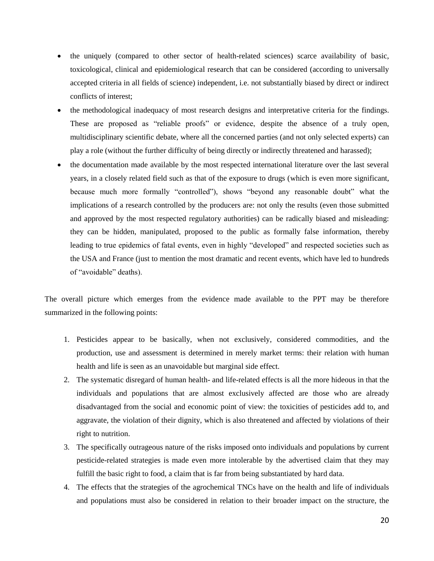- the uniquely (compared to other sector of health-related sciences) scarce availability of basic, toxicological, clinical and epidemiological research that can be considered (according to universally accepted criteria in all fields of science) independent, i.e. not substantially biased by direct or indirect conflicts of interest;
- the methodological inadequacy of most research designs and interpretative criteria for the findings. These are proposed as "reliable proofs" or evidence, despite the absence of a truly open, multidisciplinary scientific debate, where all the concerned parties (and not only selected experts) can play a role (without the further difficulty of being directly or indirectly threatened and harassed);
- the documentation made available by the most respected international literature over the last several years, in a closely related field such as that of the exposure to drugs (which is even more significant, because much more formally "controlled"), shows "beyond any reasonable doubt" what the implications of a research controlled by the producers are: not only the results (even those submitted and approved by the most respected regulatory authorities) can be radically biased and misleading: they can be hidden, manipulated, proposed to the public as formally false information, thereby leading to true epidemics of fatal events, even in highly "developed" and respected societies such as the USA and France (just to mention the most dramatic and recent events, which have led to hundreds of "avoidable" deaths).

The overall picture which emerges from the evidence made available to the PPT may be therefore summarized in the following points:

- 1. Pesticides appear to be basically, when not exclusively, considered commodities, and the production, use and assessment is determined in merely market terms: their relation with human health and life is seen as an unavoidable but marginal side effect.
- 2. The systematic disregard of human health- and life-related effects is all the more hideous in that the individuals and populations that are almost exclusively affected are those who are already disadvantaged from the social and economic point of view: the toxicities of pesticides add to, and aggravate, the violation of their dignity, which is also threatened and affected by violations of their right to nutrition.
- 3. The specifically outrageous nature of the risks imposed onto individuals and populations by current pesticide-related strategies is made even more intolerable by the advertised claim that they may fulfill the basic right to food, a claim that is far from being substantiated by hard data.
- 4. The effects that the strategies of the agrochemical TNCs have on the health and life of individuals and populations must also be considered in relation to their broader impact on the structure, the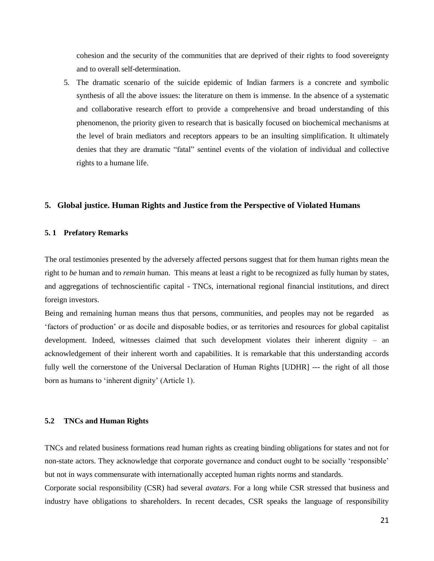cohesion and the security of the communities that are deprived of their rights to food sovereignty and to overall self-determination.

5. The dramatic scenario of the suicide epidemic of Indian farmers is a concrete and symbolic synthesis of all the above issues: the literature on them is immense. In the absence of a systematic and collaborative research effort to provide a comprehensive and broad understanding of this phenomenon, the priority given to research that is basically focused on biochemical mechanisms at the level of brain mediators and receptors appears to be an insulting simplification. It ultimately denies that they are dramatic "fatal" sentinel events of the violation of individual and collective rights to a humane life.

#### **5. Global justice. Human Rights and Justice from the Perspective of Violated Humans**

#### **5. 1 Prefatory Remarks**

The oral testimonies presented by the adversely affected persons suggest that for them human rights mean the right to *be* human and to *remain* human. This means at least a right to be recognized as fully human by states, and aggregations of technoscientific capital - TNCs, international regional financial institutions, and direct foreign investors.

Being and remaining human means thus that persons, communities, and peoples may not be regarded as 'factors of production' or as docile and disposable bodies, or as territories and resources for global capitalist development. Indeed, witnesses claimed that such development violates their inherent dignity – an acknowledgement of their inherent worth and capabilities. It is remarkable that this understanding accords fully well the cornerstone of the Universal Declaration of Human Rights [UDHR] --- the right of all those born as humans to 'inherent dignity' (Article 1).

#### **5.2 TNCs and Human Rights**

TNCs and related business formations read human rights as creating binding obligations for states and not for non-state actors. They acknowledge that corporate governance and conduct ought to be socially 'responsible' but not in ways commensurate with internationally accepted human rights norms and standards.

Corporate social responsibility (CSR) had several *avatars*. For a long while CSR stressed that business and industry have obligations to shareholders. In recent decades, CSR speaks the language of responsibility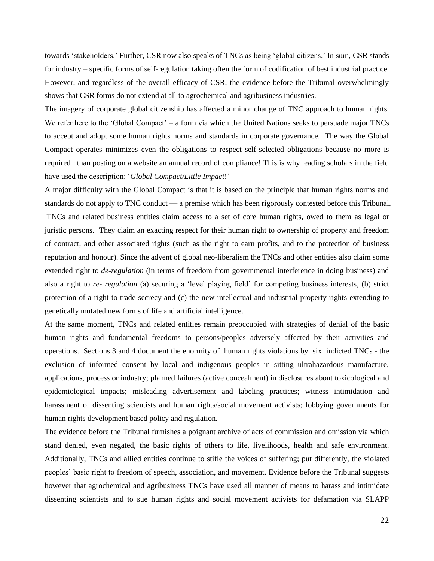towards 'stakeholders.' Further, CSR now also speaks of TNCs as being 'global citizens.' In sum, CSR stands for industry – specific forms of self-regulation taking often the form of codification of best industrial practice. However, and regardless of the overall efficacy of CSR, the evidence before the Tribunal overwhelmingly shows that CSR forms do not extend at all to agrochemical and agribusiness industries.

The imagery of corporate global citizenship has affected a minor change of TNC approach to human rights. We refer here to the 'Global Compact' – a form via which the United Nations seeks to persuade major TNCs to accept and adopt some human rights norms and standards in corporate governance. The way the Global Compact operates minimizes even the obligations to respect self-selected obligations because no more is required than posting on a website an annual record of compliance! This is why leading scholars in the field have used the description: '*Global Compact/Little Impact*!'

A major difficulty with the Global Compact is that it is based on the principle that human rights norms and standards do not apply to TNC conduct — a premise which has been rigorously contested before this Tribunal. TNCs and related business entities claim access to a set of core human rights, owed to them as legal or juristic persons. They claim an exacting respect for their human right to ownership of property and freedom of contract, and other associated rights (such as the right to earn profits, and to the protection of business reputation and honour). Since the advent of global neo-liberalism the TNCs and other entities also claim some extended right to *de-regulation* (in terms of freedom from governmental interference in doing business) and also a right to *re- regulation* (a) securing a 'level playing field' for competing business interests, (b) strict protection of a right to trade secrecy and (c) the new intellectual and industrial property rights extending to genetically mutated new forms of life and artificial intelligence.

At the same moment, TNCs and related entities remain preoccupied with strategies of denial of the basic human rights and fundamental freedoms to persons/peoples adversely affected by their activities and operations. Sections 3 and 4 document the enormity of human rights violations by six indicted TNCs - the exclusion of informed consent by local and indigenous peoples in sitting ultrahazardous manufacture, applications, process or industry; planned failures (active concealment) in disclosures about toxicological and epidemiological impacts; misleading advertisement and labeling practices; witness intimidation and harassment of dissenting scientists and human rights/social movement activists; lobbying governments for human rights development based policy and regulation.

The evidence before the Tribunal furnishes a poignant archive of acts of commission and omission via which stand denied, even negated, the basic rights of others to life, livelihoods, health and safe environment. Additionally, TNCs and allied entities continue to stifle the voices of suffering; put differently, the violated peoples' basic right to freedom of speech, association, and movement. Evidence before the Tribunal suggests however that agrochemical and agribusiness TNCs have used all manner of means to harass and intimidate dissenting scientists and to sue human rights and social movement activists for defamation via SLAPP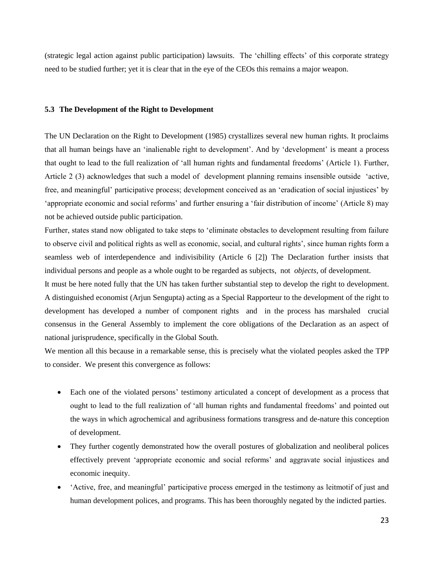(strategic legal action against public participation) lawsuits. The 'chilling effects' of this corporate strategy need to be studied further; yet it is clear that in the eye of the CEOs this remains a major weapon.

#### **5.3 The Development of the Right to Development**

The UN Declaration on the Right to Development (1985) crystallizes several new human rights. It proclaims that all human beings have an 'inalienable right to development'. And by 'development' is meant a process that ought to lead to the full realization of 'all human rights and fundamental freedoms' (Article 1). Further, Article 2 (3) acknowledges that such a model of development planning remains insensible outside 'active, free, and meaningful' participative process; development conceived as an 'eradication of social injustices' by 'appropriate economic and social reforms' and further ensuring a 'fair distribution of income' (Article 8) may not be achieved outside public participation.

Further, states stand now obligated to take steps to 'eliminate obstacles to development resulting from failure to observe civil and political rights as well as economic, social, and cultural rights', since human rights form a seamless web of interdependence and indivisibility (Article 6 [2]) The Declaration further insists that individual persons and people as a whole ought to be regarded as subjects, not *objects*, of development.

It must be here noted fully that the UN has taken further substantial step to develop the right to development. A distinguished economist (Arjun Sengupta) acting as a Special Rapporteur to the development of the right to development has developed a number of component rights and in the process has marshaled crucial consensus in the General Assembly to implement the core obligations of the Declaration as an aspect of national jurisprudence, specifically in the Global South.

We mention all this because in a remarkable sense, this is precisely what the violated peoples asked the TPP to consider. We present this convergence as follows:

- Each one of the violated persons' testimony articulated a concept of development as a process that ought to lead to the full realization of 'all human rights and fundamental freedoms' and pointed out the ways in which agrochemical and agribusiness formations transgress and de-nature this conception of development.
- They further cogently demonstrated how the overall postures of globalization and neoliberal polices effectively prevent 'appropriate economic and social reforms' and aggravate social injustices and economic inequity.
- 'Active, free, and meaningful' participative process emerged in the testimony as leitmotif of just and human development polices, and programs. This has been thoroughly negated by the indicted parties.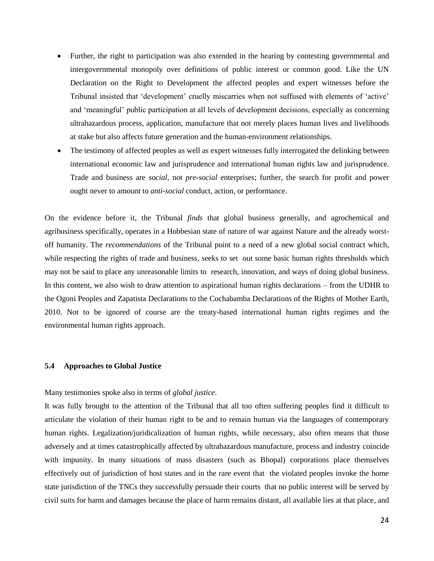- Further, the right to participation was also extended in the hearing by contesting governmental and intergovernmental monopoly over definitions of public interest or common good. Like the UN Declaration on the Right to Development the affected peoples and expert witnesses before the Tribunal insisted that 'development' cruelly miscarries when not suffused with elements of 'active' and 'meaningful' public participation at all levels of development decisions, especially as concerning ultrahazardous process, application, manufacture that not merely places human lives and livelihoods at stake but also affects future generation and the human-environment relationships.
- The testimony of affected peoples as well as expert witnesses fully interrogated the delinking between international economic law and jurisprudence and international human rights law and jurisprudence. Trade and business are *social,* not *pre-social* enterprises; further, the search for profit and power ought never to amount to *anti-social* conduct, action, or performance.

On the evidence before it, the Tribunal *finds* that global business generally, and agrochemical and agribusiness specifically, operates in a Hobbesian state of nature of war against Nature and the already worstoff humanity. The *recommendations* of the Tribunal point to a need of a new global social contract which, while respecting the rights of trade and business, seeks to set out some basic human rights thresholds which may not be said to place any unreasonable limits to research, innovation, and ways of doing global business. In this content, we also wish to draw attention to aspirational human rights declarations – from the UDHR to the Ogoni Peoples and Zapatista Declarations to the Cochabamba Declarations of the Rights of Mother Earth, 2010. Not to be ignored of course are the treaty-based international human rights regimes and the environmental human rights approach.

## **5.4 Approaches to Global Justice**

#### Many testimonies spoke also in terms of *global justice*.

It was fully brought to the attention of the Tribunal that all too often suffering peoples find it difficult to articulate the violation of their human right to be and to remain human via the languages of contemporary human rights. Legalization/juridicalization of human rights, while necessary, also often means that those adversely and at times catastrophically affected by ultrahazardous manufacture, process and industry coincide with impunity. In many situations of mass disasters (such as Bhopal) corporations place themselves effectively out of jurisdiction of host states and in the rare event that the violated peoples invoke the home state jurisdiction of the TNCs they successfully persuade their courts that no public interest will be served by civil suits for harm and damages because the place of harm remains distant, all available lies at that place, and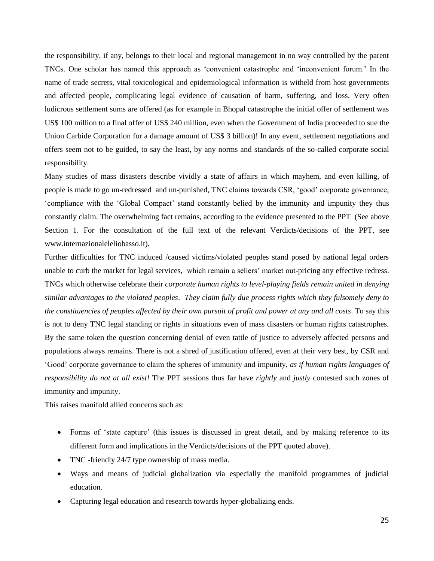the responsibility, if any, belongs to their local and regional management in no way controlled by the parent TNCs. One scholar has named this approach as 'convenient catastrophe and 'inconvenient forum.' In the name of trade secrets, vital toxicological and epidemiological information is witheld from host governments and affected people, complicating legal evidence of causation of harm, suffering, and loss. Very often ludicrous settlement sums are offered (as for example in Bhopal catastrophe the initial offer of settlement was US\$ 100 million to a final offer of US\$ 240 million, even when the Government of India proceeded to sue the Union Carbide Corporation for a damage amount of US\$ 3 billion)! In any event, settlement negotiations and offers seem not to be guided, to say the least, by any norms and standards of the so-called corporate social responsibility.

Many studies of mass disasters describe vividly a state of affairs in which mayhem, and even killing, of people is made to go un-redressed and un-punished, TNC claims towards CSR, 'good' corporate governance, 'compliance with the 'Global Compact' stand constantly belied by the immunity and impunity they thus constantly claim. The overwhelming fact remains, according to the evidence presented to the PPT (See above Section 1. For the consultation of the full text of the relevant Verdicts/decisions of the PPT, see www.internazionaleleliobasso.it).

Further difficulties for TNC induced /caused victims/violated peoples stand posed by national legal orders unable to curb the market for legal services, which remain a sellers' market out-pricing any effective redress. TNCs which otherwise celebrate their *corporate human rights to level-playing fields remain united in denying similar advantages to the violated peoples*. *They claim fully due process rights which they fulsomely deny to the constituencies of peoples affected by their own pursuit of profit and power at any and all costs*. To say this is not to deny TNC legal standing or rights in situations even of mass disasters or human rights catastrophes. By the same token the question concerning denial of even tattle of justice to adversely affected persons and populations always remains. There is not a shred of justification offered, even at their very best, by CSR and 'Good' corporate governance to claim the spheres of immunity and impunity, *as if human rights languages of responsibility do not at all exist!* The PPT sessions thus far have *rightly* and *justly* contested such zones of immunity and impunity.

This raises manifold allied concerns such as:

- Forms of 'state capture' (this issues is discussed in great detail, and by making reference to its different form and implications in the Verdicts/decisions of the PPT quoted above).
- TNC -friendly 24/7 type ownership of mass media.
- Ways and means of judicial globalization via especially the manifold programmes of judicial education.
- Capturing legal education and research towards hyper-globalizing ends.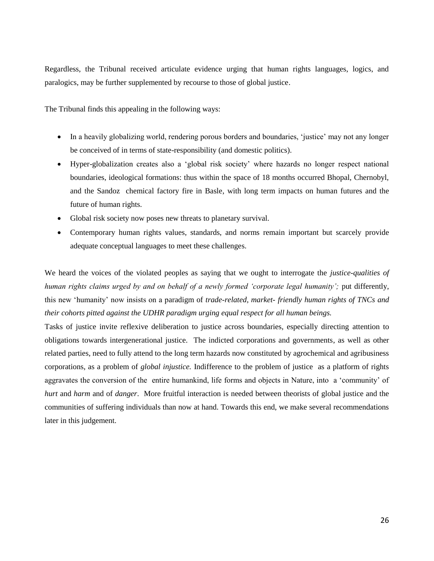Regardless, the Tribunal received articulate evidence urging that human rights languages, logics, and paralogics, may be further supplemented by recourse to those of global justice.

The Tribunal finds this appealing in the following ways:

- In a heavily globalizing world, rendering porous borders and boundaries, 'justice' may not any longer be conceived of in terms of state-responsibility (and domestic politics).
- Hyper-globalization creates also a 'global risk society' where hazards no longer respect national boundaries, ideological formations: thus within the space of 18 months occurred Bhopal, Chernobyl, and the Sandoz chemical factory fire in Basle, with long term impacts on human futures and the future of human rights.
- Global risk society now poses new threats to planetary survival.
- Contemporary human rights values, standards, and norms remain important but scarcely provide adequate conceptual languages to meet these challenges.

We heard the voices of the violated peoples as saying that we ought to interrogate the *justice-qualities of human rights claims urged by and on behalf of a newly formed 'corporate legal humanity';* put differently, this new 'humanity' now insists on a paradigm of *trade-related, market- friendly human rights of TNCs and their cohorts pitted against the UDHR paradigm urging equal respect for all human beings.*

Tasks of justice invite reflexive deliberation to justice across boundaries, especially directing attention to obligations towards intergenerational justice. The indicted corporations and governments, as well as other related parties, need to fully attend to the long term hazards now constituted by agrochemical and agribusiness corporations, as a problem of *global injustice.* Indifference to the problem of justice as a platform of rights aggravates the conversion of the entire humankind, life forms and objects in Nature, into a 'community' of *hurt* and *harm* and of *danger*. More fruitful interaction is needed between theorists of global justice and the communities of suffering individuals than now at hand. Towards this end, we make several recommendations later in this judgement.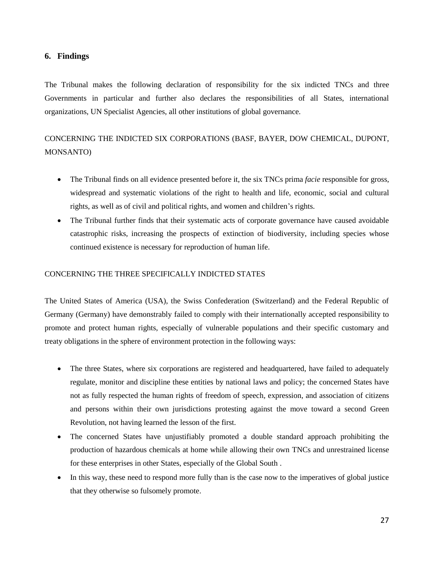## **6. Findings**

The Tribunal makes the following declaration of responsibility for the six indicted TNCs and three Governments in particular and further also declares the responsibilities of all States, international organizations, UN Specialist Agencies, all other institutions of global governance.

# CONCERNING THE INDICTED SIX CORPORATIONS (BASF, BAYER, DOW CHEMICAL, DUPONT, MONSANTO)

- The Tribunal finds on all evidence presented before it, the six TNCs prima *facie* responsible for gross, widespread and systematic violations of the right to health and life, economic, social and cultural rights, as well as of civil and political rights, and women and children's rights.
- The Tribunal further finds that their systematic acts of corporate governance have caused avoidable catastrophic risks, increasing the prospects of extinction of biodiversity, including species whose continued existence is necessary for reproduction of human life.

## CONCERNING THE THREE SPECIFICALLY INDICTED STATES

The United States of America (USA), the Swiss Confederation (Switzerland) and the Federal Republic of Germany (Germany) have demonstrably failed to comply with their internationally accepted responsibility to promote and protect human rights, especially of vulnerable populations and their specific customary and treaty obligations in the sphere of environment protection in the following ways:

- The three States, where six corporations are registered and headquartered, have failed to adequately regulate, monitor and discipline these entities by national laws and policy; the concerned States have not as fully respected the human rights of freedom of speech, expression, and association of citizens and persons within their own jurisdictions protesting against the move toward a second Green Revolution, not having learned the lesson of the first.
- The concerned States have unjustifiably promoted a double standard approach prohibiting the production of hazardous chemicals at home while allowing their own TNCs and unrestrained license for these enterprises in other States, especially of the Global South .
- In this way, these need to respond more fully than is the case now to the imperatives of global justice that they otherwise so fulsomely promote.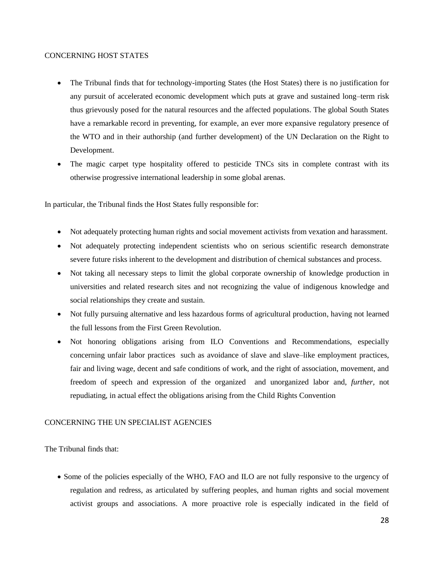## CONCERNING HOST STATES

- The Tribunal finds that for technology-importing States (the Host States) there is no justification for any pursuit of accelerated economic development which puts at grave and sustained long–term risk thus grievously posed for the natural resources and the affected populations. The global South States have a remarkable record in preventing, for example, an ever more expansive regulatory presence of the WTO and in their authorship (and further development) of the UN Declaration on the Right to Development.
- The magic carpet type hospitality offered to pesticide TNCs sits in complete contrast with its otherwise progressive international leadership in some global arenas.

In particular, the Tribunal finds the Host States fully responsible for:

- Not adequately protecting human rights and social movement activists from vexation and harassment.
- Not adequately protecting independent scientists who on serious scientific research demonstrate severe future risks inherent to the development and distribution of chemical substances and process.
- Not taking all necessary steps to limit the global corporate ownership of knowledge production in universities and related research sites and not recognizing the value of indigenous knowledge and social relationships they create and sustain.
- Not fully pursuing alternative and less hazardous forms of agricultural production, having not learned the full lessons from the First Green Revolution.
- Not honoring obligations arising from ILO Conventions and Recommendations, especially concerning unfair labor practices such as avoidance of slave and slave–like employment practices, fair and living wage, decent and safe conditions of work, and the right of association, movement, and freedom of speech and expression of the organized and unorganized labor and, *further,* not repudiating, in actual effect the obligations arising from the Child Rights Convention

## CONCERNING THE UN SPECIALIST AGENCIES

The Tribunal finds that:

• Some of the policies especially of the WHO, FAO and ILO are not fully responsive to the urgency of regulation and redress, as articulated by suffering peoples, and human rights and social movement activist groups and associations. A more proactive role is especially indicated in the field of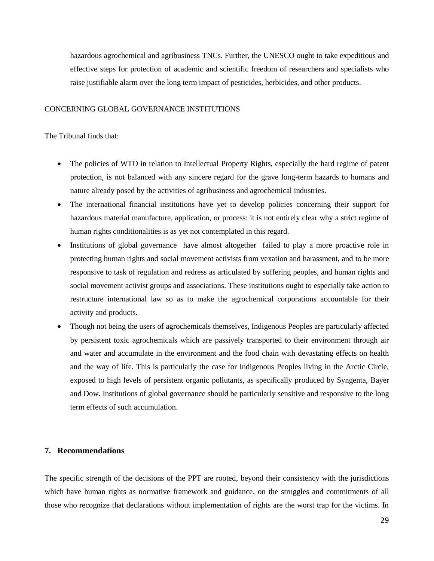hazardous agrochemical and agribusiness TNCs. Further, the UNESCO ought to take expeditious and effective steps for protection of academic and scientific freedom of researchers and specialists who raise justifiable alarm over the long term impact of pesticides, herbicides, and other products.

## CONCERNING GLOBAL GOVERNANCE INSTITUTIONS

## The Tribunal finds that:

- The policies of WTO in relation to Intellectual Property Rights, especially the hard regime of patent protection, is not balanced with any sincere regard for the grave long-term hazards to humans and nature already posed by the activities of agribusiness and agrochemical industries.
- The international financial institutions have yet to develop policies concerning their support for hazardous material manufacture, application, or process: it is not entirely clear why a strict regime of human rights conditionalities is as yet not contemplated in this regard.
- Institutions of global governance have almost altogether failed to play a more proactive role in protecting human rights and social movement activists from vexation and harassment, and to be more responsive to task of regulation and redress as articulated by suffering peoples, and human rights and social movement activist groups and associations. These institutions ought to especially take action to restructure international law so as to make the agrochemical corporations accountable for their activity and products.
- Though not being the users of agrochemicals themselves, Indigenous Peoples are particularly affected by persistent toxic agrochemicals which are passively transported to their environment through air and water and accumulate in the environment and the food chain with devastating effects on health and the way of life. This is particularly the case for Indigenous Peoples living in the Arctic Circle, exposed to high levels of persistent organic pollutants, as specifically produced by Syngenta, Bayer and Dow. Institutions of global governance should be particularly sensitive and responsive to the long term effects of such accumulation.

#### **7. Recommendations**

The specific strength of the decisions of the PPT are rooted, beyond their consistency with the jurisdictions which have human rights as normative framework and guidance, on the struggles and commitments of all those who recognize that declarations without implementation of rights are the worst trap for the victims. In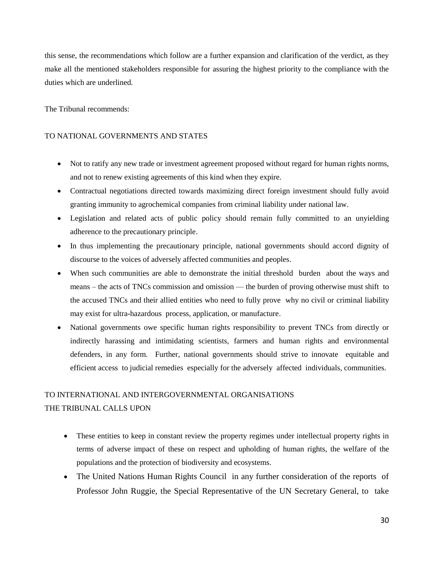this sense, the recommendations which follow are a further expansion and clarification of the verdict, as they make all the mentioned stakeholders responsible for assuring the highest priority to the compliance with the duties which are underlined.

The Tribunal recommends:

## TO NATIONAL GOVERNMENTS AND STATES

- Not to ratify any new trade or investment agreement proposed without regard for human rights norms, and not to renew existing agreements of this kind when they expire.
- Contractual negotiations directed towards maximizing direct foreign investment should fully avoid granting immunity to agrochemical companies from criminal liability under national law.
- Legislation and related acts of public policy should remain fully committed to an unyielding adherence to the precautionary principle.
- In thus implementing the precautionary principle, national governments should accord dignity of discourse to the voices of adversely affected communities and peoples.
- When such communities are able to demonstrate the initial threshold burden about the ways and means – the acts of TNCs commission and omission — the burden of proving otherwise must shift to the accused TNCs and their allied entities who need to fully prove why no civil or criminal liability may exist for ultra-hazardous process, application, or manufacture.
- National governments owe specific human rights responsibility to prevent TNCs from directly or indirectly harassing and intimidating scientists, farmers and human rights and environmental defenders, in any form. Further, national governments should strive to innovate equitable and efficient access to judicial remedies especially for the adversely affected individuals, communities.

## TO INTERNATIONAL AND INTERGOVERNMENTAL ORGANISATIONS THE TRIBUNAL CALLS UPON

- These entities to keep in constant review the property regimes under intellectual property rights in terms of adverse impact of these on respect and upholding of human rights, the welfare of the populations and the protection of biodiversity and ecosystems.
- The United Nations Human Rights Council in any further consideration of the reports of Professor John Ruggie, the Special Representative of the UN Secretary General, to take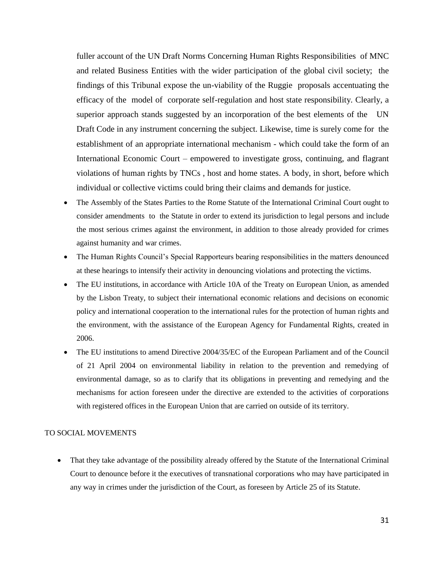fuller account of the UN Draft Norms Concerning Human Rights Responsibilities of MNC and related Business Entities with the wider participation of the global civil society; the findings of this Tribunal expose the un-viability of the Ruggie proposals accentuating the efficacy of the model of corporate self-regulation and host state responsibility. Clearly, a superior approach stands suggested by an incorporation of the best elements of the UN Draft Code in any instrument concerning the subject. Likewise, time is surely come for the establishment of an appropriate international mechanism - which could take the form of an International Economic Court – empowered to investigate gross, continuing, and flagrant violations of human rights by TNCs , host and home states. A body, in short, before which individual or collective victims could bring their claims and demands for justice.

- The Assembly of the States Parties to the Rome Statute of the International Criminal Court ought to consider amendments to the Statute in order to extend its jurisdiction to legal persons and include the most serious crimes against the environment, in addition to those already provided for crimes against humanity and war crimes.
- The Human Rights Council's Special Rapporteurs bearing responsibilities in the matters denounced at these hearings to intensify their activity in denouncing violations and protecting the victims.
- The EU institutions, in accordance with Article 10A of the Treaty on European Union, as amended by the Lisbon Treaty, to subject their international economic relations and decisions on economic policy and international cooperation to the international rules for the protection of human rights and the environment, with the assistance of the European Agency for Fundamental Rights, created in 2006.
- The EU institutions to amend Directive 2004/35/EC of the European Parliament and of the Council of 21 April 2004 on environmental liability in relation to the prevention and remedying of environmental damage, so as to clarify that its obligations in preventing and remedying and the mechanisms for action foreseen under the directive are extended to the activities of corporations with registered offices in the European Union that are carried on outside of its territory.

### TO SOCIAL MOVEMENTS

• That they take advantage of the possibility already offered by the Statute of the International Criminal Court to denounce before it the executives of transnational corporations who may have participated in any way in crimes under the jurisdiction of the Court, as foreseen by Article 25 of its Statute.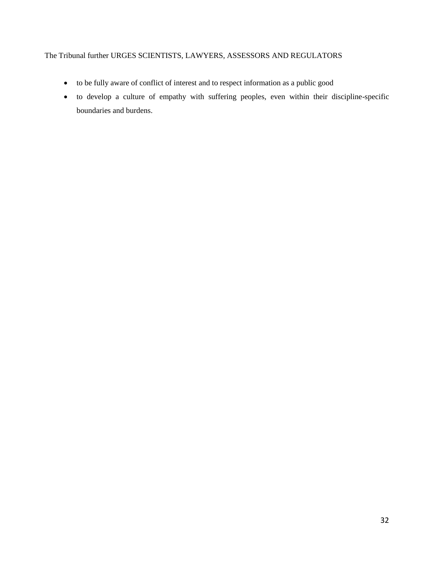## The Tribunal further URGES SCIENTISTS, LAWYERS, ASSESSORS AND REGULATORS

- to be fully aware of conflict of interest and to respect information as a public good
- to develop a culture of empathy with suffering peoples, even within their discipline-specific boundaries and burdens.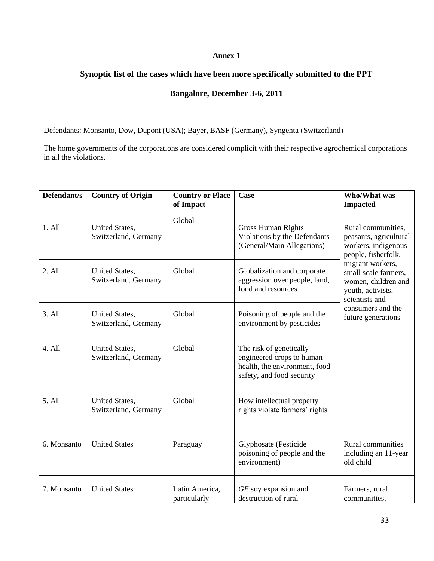## **Annex 1**

## **Synoptic list of the cases which have been more specifically submitted to the PPT**

## **Bangalore, December 3-6, 2011**

Defendants: Monsanto, Dow, Dupont (USA); Bayer, BASF (Germany), Syngenta (Switzerland)

The home governments of the corporations are considered complicit with their respective agrochemical corporations in all the violations.

| Defendant/s | <b>Country of Origin</b>               | <b>Country or Place</b><br>of Impact | Case                                                                                                               | <b>Who/What was</b><br><b>Impacted</b>                                                                 |
|-------------|----------------------------------------|--------------------------------------|--------------------------------------------------------------------------------------------------------------------|--------------------------------------------------------------------------------------------------------|
| 1. All      | United States,<br>Switzerland, Germany | Global                               | <b>Gross Human Rights</b><br>Violations by the Defendants<br>(General/Main Allegations)                            | Rural communities,<br>peasants, agricultural<br>workers, indigenous<br>people, fisherfolk,             |
| 2. All      | United States,<br>Switzerland, Germany | Global                               | Globalization and corporate<br>aggression over people, land,<br>food and resources                                 | migrant workers,<br>small scale farmers,<br>women, children and<br>youth, activists,<br>scientists and |
| 3. All      | United States,<br>Switzerland, Germany | Global                               | Poisoning of people and the<br>environment by pesticides                                                           | consumers and the<br>future generations                                                                |
| 4. All      | United States,<br>Switzerland, Germany | Global                               | The risk of genetically<br>engineered crops to human<br>health, the environment, food<br>safety, and food security |                                                                                                        |
| 5. All      | United States,<br>Switzerland, Germany | Global                               | How intellectual property<br>rights violate farmers' rights                                                        |                                                                                                        |
| 6. Monsanto | <b>United States</b>                   | Paraguay                             | Glyphosate (Pesticide<br>poisoning of people and the<br>environment)                                               | Rural communities<br>including an 11-year<br>old child                                                 |
| 7. Monsanto | <b>United States</b>                   | Latin America,<br>particularly       | GE soy expansion and<br>destruction of rural                                                                       | Farmers, rural<br>communities,                                                                         |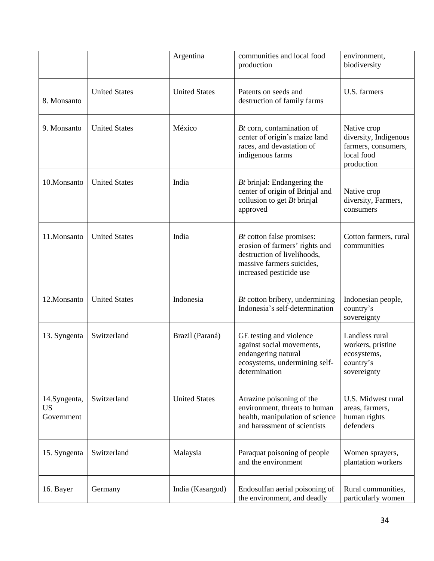|                                         |                      | Argentina            | communities and local food<br>production                                                                                                           | environment,<br>biodiversity                                                            |
|-----------------------------------------|----------------------|----------------------|----------------------------------------------------------------------------------------------------------------------------------------------------|-----------------------------------------------------------------------------------------|
| 8. Monsanto                             | <b>United States</b> | <b>United States</b> | Patents on seeds and<br>destruction of family farms                                                                                                | U.S. farmers                                                                            |
| 9. Monsanto                             | <b>United States</b> | México               | $Bt$ corn, contamination of<br>center of origin's maize land<br>races, and devastation of<br>indigenous farms                                      | Native crop<br>diversity, Indigenous<br>farmers, consumers,<br>local food<br>production |
| 10.Monsanto                             | <b>United States</b> | India                | <i>Bt</i> brinjal: Endangering the<br>center of origin of Brinjal and<br>collusion to get $Bt$ brinjal<br>approved                                 | Native crop<br>diversity, Farmers,<br>consumers                                         |
| 11.Monsanto                             | <b>United States</b> | India                | Bt cotton false promises:<br>erosion of farmers' rights and<br>destruction of livelihoods,<br>massive farmers suicides,<br>increased pesticide use | Cotton farmers, rural<br>communities                                                    |
| 12.Monsanto                             | <b>United States</b> | Indonesia            | <i>Bt</i> cotton bribery, undermining<br>Indonesia's self-determination                                                                            | Indonesian people,<br>country's<br>sovereignty                                          |
| 13. Syngenta                            | Switzerland          | Brazil (Paraná)      | GE testing and violence<br>against social movements,<br>endangering natural<br>ecosystems, undermining self-<br>determination                      | Landless rural<br>workers, pristine<br>ecosystems,<br>country's<br>sovereignty          |
| 14.Syngenta,<br><b>US</b><br>Government | Switzerland          | <b>United States</b> | Atrazine poisoning of the<br>environment, threats to human<br>health, manipulation of science<br>and harassment of scientists                      | U.S. Midwest rural<br>areas, farmers,<br>human rights<br>defenders                      |
| 15. Syngenta                            | Switzerland          | Malaysia             | Paraquat poisoning of people<br>and the environment                                                                                                | Women sprayers,<br>plantation workers                                                   |
| 16. Bayer                               | Germany              | India (Kasargod)     | Endosulfan aerial poisoning of<br>the environment, and deadly                                                                                      | Rural communities,<br>particularly women                                                |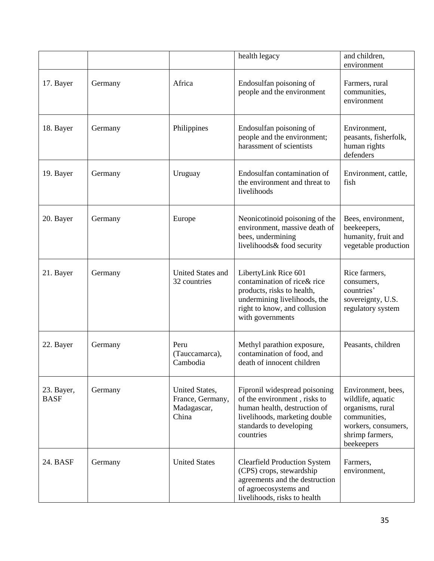|                           |         |                                                            | health legacy                                                                                                                                                          | and children,<br>environment                                                                                                        |
|---------------------------|---------|------------------------------------------------------------|------------------------------------------------------------------------------------------------------------------------------------------------------------------------|-------------------------------------------------------------------------------------------------------------------------------------|
| 17. Bayer                 | Germany | Africa                                                     | Endosulfan poisoning of<br>people and the environment                                                                                                                  | Farmers, rural<br>communities,<br>environment                                                                                       |
| 18. Bayer                 | Germany | Philippines                                                | Endosulfan poisoning of<br>people and the environment;<br>harassment of scientists                                                                                     | Environment,<br>peasants, fisherfolk,<br>human rights<br>defenders                                                                  |
| 19. Bayer                 | Germany | Uruguay                                                    | Endosulfan contamination of<br>the environment and threat to<br>livelihoods                                                                                            | Environment, cattle,<br>fish                                                                                                        |
| 20. Bayer                 | Germany | Europe                                                     | Neonicotinoid poisoning of the<br>environment, massive death of<br>bees, undermining<br>livelihoods& food security                                                     | Bees, environment,<br>beekeepers,<br>humanity, fruit and<br>vegetable production                                                    |
| 21. Bayer                 | Germany | <b>United States and</b><br>32 countries                   | LibertyLink Rice 601<br>contamination of rice& rice<br>products, risks to health,<br>undermining livelihoods, the<br>right to know, and collusion<br>with governments  | Rice farmers,<br>consumers,<br>countries'<br>sovereignty, U.S.<br>regulatory system                                                 |
| 22. Bayer                 | Germany | Peru<br>(Tauccamarca),<br>Cambodia                         | Methyl parathion exposure,<br>contamination of food, and<br>death of innocent children                                                                                 | Peasants, children                                                                                                                  |
| 23. Bayer,<br><b>BASF</b> | Germany | United States,<br>France, Germany,<br>Madagascar,<br>China | Fipronil widespread poisoning<br>of the environment, risks to<br>human health, destruction of<br>livelihoods, marketing double<br>standards to developing<br>countries | Environment, bees,<br>wildlife, aquatic<br>organisms, rural<br>communities,<br>workers, consumers,<br>shrimp farmers,<br>beekeepers |
| 24. BASF                  | Germany | <b>United States</b>                                       | <b>Clearfield Production System</b><br>(CPS) crops, stewardship<br>agreements and the destruction<br>of agroecosystems and<br>livelihoods, risks to health             | Farmers,<br>environment,                                                                                                            |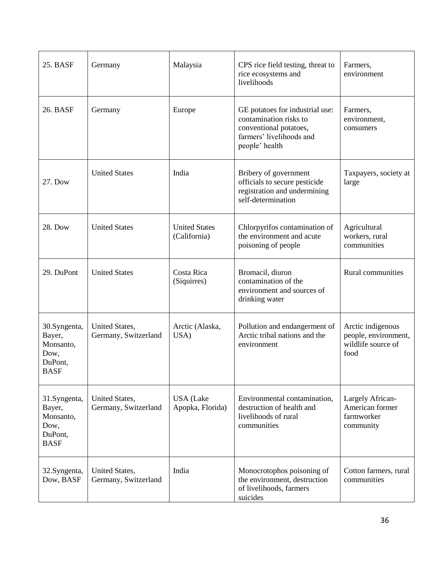| 25. BASF                                                              | Germany                                | Malaysia                             | CPS rice field testing, threat to<br>rice ecosystems and<br>livelihoods                                                           | Farmers,<br>environment                                                 |
|-----------------------------------------------------------------------|----------------------------------------|--------------------------------------|-----------------------------------------------------------------------------------------------------------------------------------|-------------------------------------------------------------------------|
| 26. BASF                                                              | Germany                                | Europe                               | GE potatoes for industrial use:<br>contamination risks to<br>conventional potatoes,<br>farmers' livelihoods and<br>people' health | Farmers,<br>environment,<br>consumers                                   |
| 27. Dow                                                               | <b>United States</b>                   | India                                | Bribery of government<br>officials to secure pesticide<br>registration and undermining<br>self-determination                      | Taxpayers, society at<br>large                                          |
| 28. Dow                                                               | <b>United States</b>                   | <b>United States</b><br>(California) | Chlorpyrifos contamination of<br>the environment and acute<br>poisoning of people                                                 | Agricultural<br>workers, rural<br>communities                           |
| 29. DuPont                                                            | <b>United States</b>                   | Costa Rica<br>(Siquirres)            | Bromacil, diuron<br>contamination of the<br>environment and sources of<br>drinking water                                          | Rural communities                                                       |
| 30.Syngenta,<br>Bayer,<br>Monsanto,<br>Dow,<br>DuPont,<br><b>BASF</b> | United States,<br>Germany, Switzerland | Arctic (Alaska,<br>USA)              | Pollution and endangerment of<br>Arctic tribal nations and the<br>environment                                                     | Arctic indigenous<br>people, environment,<br>wildlife source of<br>food |
| 31.Syngenta,<br>Bayer,<br>Monsanto,<br>Dow,<br>DuPont,<br><b>BASF</b> | United States,<br>Germany, Switzerland | <b>USA</b> (Lake<br>Apopka, Florida) | Environmental contamination,<br>destruction of health and<br>livelihoods of rural<br>communities                                  | Largely African-<br>American former<br>farmworker<br>community          |
| 32.Syngenta,<br>Dow, BASF                                             | United States,<br>Germany, Switzerland | India                                | Monocrotophos poisoning of<br>the environment, destruction<br>of livelihoods, farmers<br>suicides                                 | Cotton farmers, rural<br>communities                                    |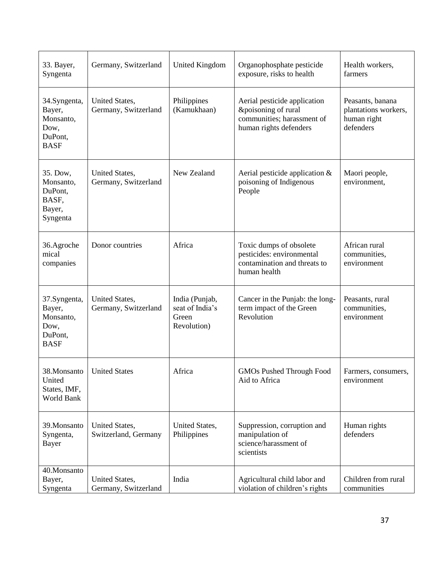| 33. Bayer,<br>Syngenta                                                | Germany, Switzerland                   | <b>United Kingdom</b>                                     | Organophosphate pesticide<br>exposure, risks to health                                                      | Health workers,<br>farmers                                           |
|-----------------------------------------------------------------------|----------------------------------------|-----------------------------------------------------------|-------------------------------------------------------------------------------------------------------------|----------------------------------------------------------------------|
| 34.Syngenta,<br>Bayer,<br>Monsanto,<br>Dow,<br>DuPont.<br><b>BASF</b> | United States,<br>Germany, Switzerland | Philippines<br>(Kamukhaan)                                | Aerial pesticide application<br>&poisoning of rural<br>communities; harassment of<br>human rights defenders | Peasants, banana<br>plantations workers,<br>human right<br>defenders |
| 35. Dow,<br>Monsanto,<br>DuPont,<br>BASF,<br>Bayer,<br>Syngenta       | United States,<br>Germany, Switzerland | New Zealand                                               | Aerial pesticide application $&$<br>poisoning of Indigenous<br>People                                       | Maori people,<br>environment,                                        |
| 36.Agroche<br>mical<br>companies                                      | Donor countries                        | Africa                                                    | Toxic dumps of obsolete<br>pesticides: environmental<br>contamination and threats to<br>human health        | African rural<br>communities,<br>environment                         |
| 37.Syngenta,<br>Bayer,<br>Monsanto,<br>Dow,<br>DuPont,<br><b>BASF</b> | United States,<br>Germany, Switzerland | India (Punjab,<br>seat of India's<br>Green<br>Revolution) | Cancer in the Punjab: the long-<br>term impact of the Green<br>Revolution                                   | Peasants, rural<br>communities,<br>environment                       |
| 38.Monsanto<br>United<br>States, IMF,<br>World Bank                   | <b>United States</b>                   | Africa                                                    | <b>GMOs Pushed Through Food</b><br>Aid to Africa                                                            | Farmers, consumers,<br>environment                                   |
| 39. Monsanto<br>Syngenta,<br>Bayer                                    | United States,<br>Switzerland, Germany | United States,<br>Philippines                             | Suppression, corruption and<br>manipulation of<br>science/harassment of<br>scientists                       | Human rights<br>defenders                                            |
| 40.Monsanto<br>Bayer,<br>Syngenta                                     | United States,<br>Germany, Switzerland | India                                                     | Agricultural child labor and<br>violation of children's rights                                              | Children from rural<br>communities                                   |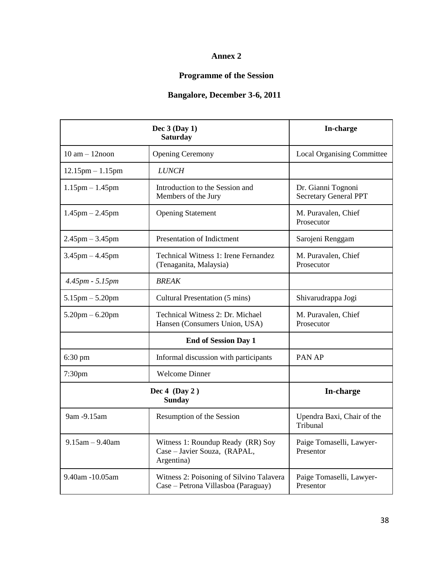## **Annex 2**

# **Programme of the Session**

## **Bangalore, December 3-6, 2011**

|                             | Dec $3$ (Day 1)<br><b>Saturday</b>                                              | In-charge                                          |  |  |
|-----------------------------|---------------------------------------------------------------------------------|----------------------------------------------------|--|--|
| $10$ am $- 12$ noon         | <b>Opening Ceremony</b>                                                         | <b>Local Organising Committee</b>                  |  |  |
| $12.15$ pm $-1.15$ pm       | <b>LUNCH</b>                                                                    |                                                    |  |  |
| $1.15$ pm $- 1.45$ pm       | Introduction to the Session and<br>Members of the Jury                          | Dr. Gianni Tognoni<br><b>Secretary General PPT</b> |  |  |
| $1.45$ pm $- 2.45$ pm       | <b>Opening Statement</b>                                                        | M. Puravalen, Chief<br>Prosecutor                  |  |  |
| $2.45$ pm $-3.45$ pm        | Presentation of Indictment                                                      | Sarojeni Renggam                                   |  |  |
| $3.45$ pm $-4.45$ pm        | <b>Technical Witness 1: Irene Fernandez</b><br>(Tenaganita, Malaysia)           | M. Puravalen, Chief<br>Prosecutor                  |  |  |
| $4.45pm - 5.15pm$           | <b>BREAK</b>                                                                    |                                                    |  |  |
| $5.15$ pm $- 5.20$ pm       | Cultural Presentation (5 mins)                                                  | Shivarudrappa Jogi                                 |  |  |
| $5.20$ pm $- 6.20$ pm       | Technical Witness 2: Dr. Michael<br>Hansen (Consumers Union, USA)               | M. Puravalen, Chief<br>Prosecutor                  |  |  |
| <b>End of Session Day 1</b> |                                                                                 |                                                    |  |  |
| $6:30 \text{ pm}$           | Informal discussion with participants                                           | PAN AP                                             |  |  |
| 7:30 <sub>pm</sub>          | <b>Welcome Dinner</b>                                                           |                                                    |  |  |
|                             | <b>In-charge</b>                                                                |                                                    |  |  |
| 9am -9.15am                 | Resumption of the Session                                                       | Upendra Baxi, Chair of the<br>Tribunal             |  |  |
| $9.15$ am $- 9.40$ am       | Witness 1: Roundup Ready (RR) Soy<br>Case - Javier Souza, (RAPAL,<br>Argentina) | Paige Tomaselli, Lawyer-<br>Presentor              |  |  |
| 9.40am -10.05am             | Witness 2: Poisoning of Silvino Talavera<br>Case – Petrona Villasboa (Paraguay) | Paige Tomaselli, Lawyer-<br>Presentor              |  |  |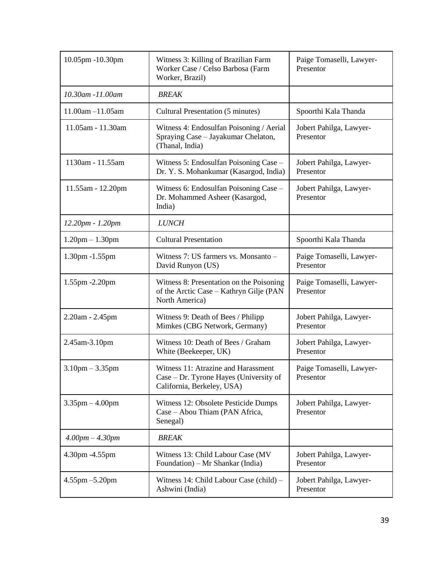| 10.05pm -10.30pm      | Witness 3: Killing of Brazilian Farm<br>Worker Case / Celso Barbosa (Farm<br>Worker, Brazil)                | Paige Tomaselli, Lawyer-<br>Presentor |
|-----------------------|-------------------------------------------------------------------------------------------------------------|---------------------------------------|
| 10.30am -11.00am      | <b>BREAK</b>                                                                                                |                                       |
| $11.00am - 11.05am$   | Cultural Presentation (5 minutes)                                                                           | Spoorthi Kala Thanda                  |
| 11.05am - 11.30am     | Witness 4: Endosulfan Poisoning / Aerial<br>Spraying Case - Jayakumar Chelaton,<br>(Thanal, India)          | Jobert Pahilga, Lawyer-<br>Presentor  |
| 1130am - 11.55am      | Witness 5: Endosulfan Poisoning Case -<br>Dr. Y. S. Mohankumar (Kasargod, India)                            | Jobert Pahilga, Lawyer-<br>Presentor  |
| 11.55am - 12.20pm     | Witness 6: Endosulfan Poisoning Case -<br>Dr. Mohammed Asheer (Kasargod,<br>India)                          | Jobert Pahilga, Lawyer-<br>Presentor  |
| 12.20pm - 1.20pm      | <b>LUNCH</b>                                                                                                |                                       |
| $1.20$ pm $- 1.30$ pm | <b>Cultural Presentation</b>                                                                                | Spoorthi Kala Thanda                  |
| 1.30pm -1.55pm        | Witness 7: US farmers vs. Monsanto -<br>David Runyon (US)                                                   | Paige Tomaselli, Lawyer-<br>Presentor |
| 1.55pm -2.20pm        | Witness 8: Presentation on the Poisoning<br>of the Arctic Case - Kathryn Gilje (PAN<br>North America)       | Paige Tomaselli, Lawyer-<br>Presentor |
| 2.20am - 2.45pm       | Witness 9: Death of Bees / Philipp<br>Mimkes (CBG Network, Germany)                                         | Jobert Pahilga, Lawyer-<br>Presentor  |
| 2.45am-3.10pm         | Witness 10: Death of Bees / Graham<br>White (Beekeeper, UK)                                                 | Jobert Pahilga, Lawyer-<br>Presentor  |
| $3.10$ pm $-3.35$ pm  | Witness 11: Atrazine and Harassment<br>Case – Dr. Tyrone Hayes (University of<br>California, Berkeley, USA) | Paige Tomaselli, Lawyer-<br>Presentor |
| $3.35$ pm $-4.00$ pm  | Witness 12: Obsolete Pesticide Dumps<br>Case – Abou Thiam (PAN Africa,<br>Senegal)                          | Jobert Pahilga, Lawyer-<br>Presentor  |
| $4.00pm - 4.30pm$     | <b>BREAK</b>                                                                                                |                                       |
| 4.30pm -4.55pm        | Witness 13: Child Labour Case (MV<br>Foundation) – Mr Shankar (India)                                       | Jobert Pahilga, Lawyer-<br>Presentor  |
| $4.55$ pm $-5.20$ pm  | Witness 14: Child Labour Case (child) -<br>Ashwini (India)                                                  | Jobert Pahilga, Lawyer-<br>Presentor  |